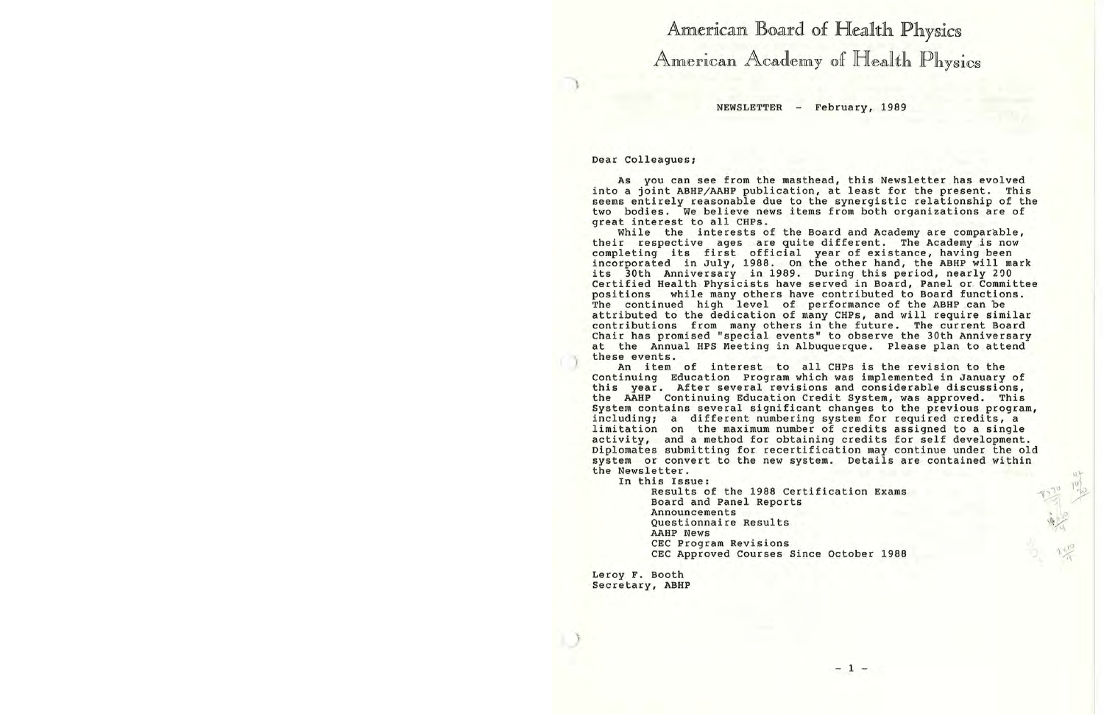# American Board of Health Physics American Academy of Health Physics

NEWSLETTER - February, 1989

Dear Colleagues;

As you can see from the masthead, this Newsletter has evolved into a joint ABHP/AAHP publication, at least for the present. This seems entirely reasonable due to the synergistic relationship of the two bodies. we believe news items from both organizations are of great interest to all CHPs.

While the interests of the Board and Academy are comparable, their respective ages are quite different. The Academy is now completing its first official year of existance, having been incorporated in July, 1988. On the other hand, the **ABHP** will mark its 30th Anniversary in 1989. During this period, nearly 290 Certified Health Physicists have served in Board, Panel or Committee<br>positions while many others have contributed to Board functions. positions while many others have contributed to Board functions.<br>The continued high level of performance of the ABHP can be continued high level of performance of the ABHP can be attributed to the dedication of many CHPs, and will require similar contributions from many others in the future. The current Board Chair has promised "special events'' to observe the 30th Anniversary at the Annual HPS Meeting in Albuquerque. Please plan to attend these events.

An item of interest to all CHPs is the revision to the Continuing Education Program which was implemented in January of this year. After several revisions and considerable discussions, the AAHP Continuing Education Credit System, was approved. This System contains several significant changes to the previous program, including; a different numbering system for required credits, a limitation on the maximum number of credits assigned to a single activity, and a method for obtaining credits for self development . Diplomates submitting for recertification may continue under the old system or convert to the new system. Details are contained within the Newsletter.

In this Issue :

Results of the 1988 Certification Exams Board and Panel Reports Announcements Questionnaire Results **AAHP** News CEC Program Revisions CEC Approved Courses Since October 1988

Leroy F. Booth Secretary, ABHP  $1530$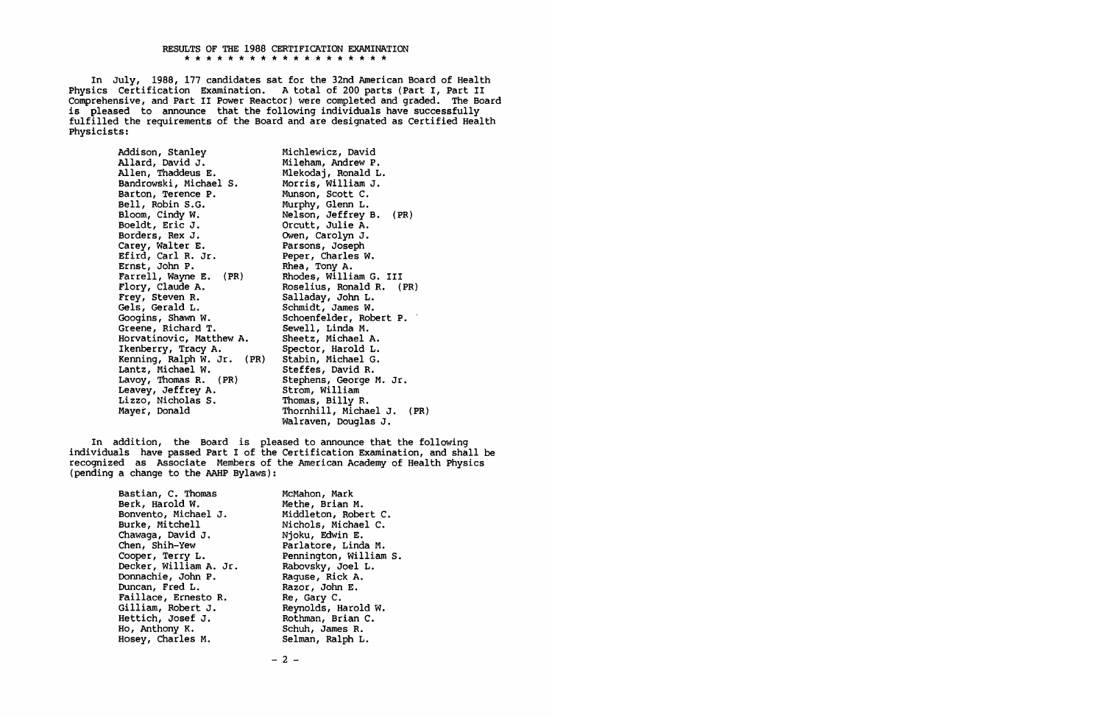#### RESULTS OF THE 1988 CERTIFICATION EXAMINATION \* \* \* \* \* \* \* \* \* \* \* \* \* \* \* \* \* \* \*

In July, 1988, 177 candidates sat for the 32nd American Board of Health Physics Certification Examination. A total of 200 parts (Part I, Part II Comprehensive, and Part II Power Reactor) were completed and graded. The Board is pleased to announce that the following individuals have successfully fulfilled the requirements of the Board and are designated as Certified Health Physicists:

> Addison, Stanley Allard, David J. Allen, Thaddeus E. Bandrowski, Michael S. Barton, Terence P. Bell, Robin S.G. Bloom, Cindy W. Boeldt, Eric J. Borders, Rex J. Carey, Walter E. Efird, Carl R. Jr. Ernst, John P. Farrell, Wayne E. (PR) Flory, Claude A. Frey, Steven R. Gels, Gerald L. Googins, Shawn w. Greene, Richard T. Horvatinovic, Matthew A. Ikenberry, Tracy A. Kenning, Ralph W. Jr. **(PR)**  Lantz, Michael w. Lavoy, Thomas R. (PR) Leavey, Jeffrey A. Lizzo, Nicholas S. Maye *t,* Donald

Michlewicz, David Mileham, Andrew P. Mlekodaj, Ronald L. Morris, William J. Munson, Scott C. Murphy, Glenn L. Nelson, Jeffrey B. (PR) Orcutt, Julie A. Owen, Carolyn J. Parsons, Joseph Peper, Charles w. Rhea, Tony A. Rhodes, William G. III Roselius, Ronald R. (PR) Salladay, John L. Schmidt, James w. Schoenfelder, Robert P.<br>Sewell, Linda M. Sheetz, Michael A. Spector, Harold L. Stabin, Michael G. Steffes, David R. Stephens, George M. Jr. Strom, William Thomas, **Billy** R. Thornhill, Michael J. **(PR)**  Walraven, Douglas J.

In addition, the Board is pleased to announce that the following individuals have passed Part I of the Certification Examination, and shall be recognized as Associate Members of the American Academy of Health Physics (pending a change to the AAHP Bylaws):

> Bastian, C. Thomas Berk, Harold w. Bonvento, Michael J. Burke, Mitchell Chawaga, David J. Chen, Shih-Yew Cooper, Terry L. Decker, William A. Jr. Donnachie, John P. Duncan, Fred L. Faillace, Ernesto R. Gilliam, Robert J. Hettich, Josef J. Ho, Anthony K. Hosey, Charles M.

McMahon, Mark Methe, Brian M. Middleton, Robert C. Nichols, Michael C. Njoku, Edwin E. Parlatore, Linda M. Pennington, William S. Rabovsky, Joel L. Raguse, Rick A. Razor, John E. Re, Gary C. Reynolds, Harold w. Rothman, Brian C. Schuh, James R. Selman, Ralph L.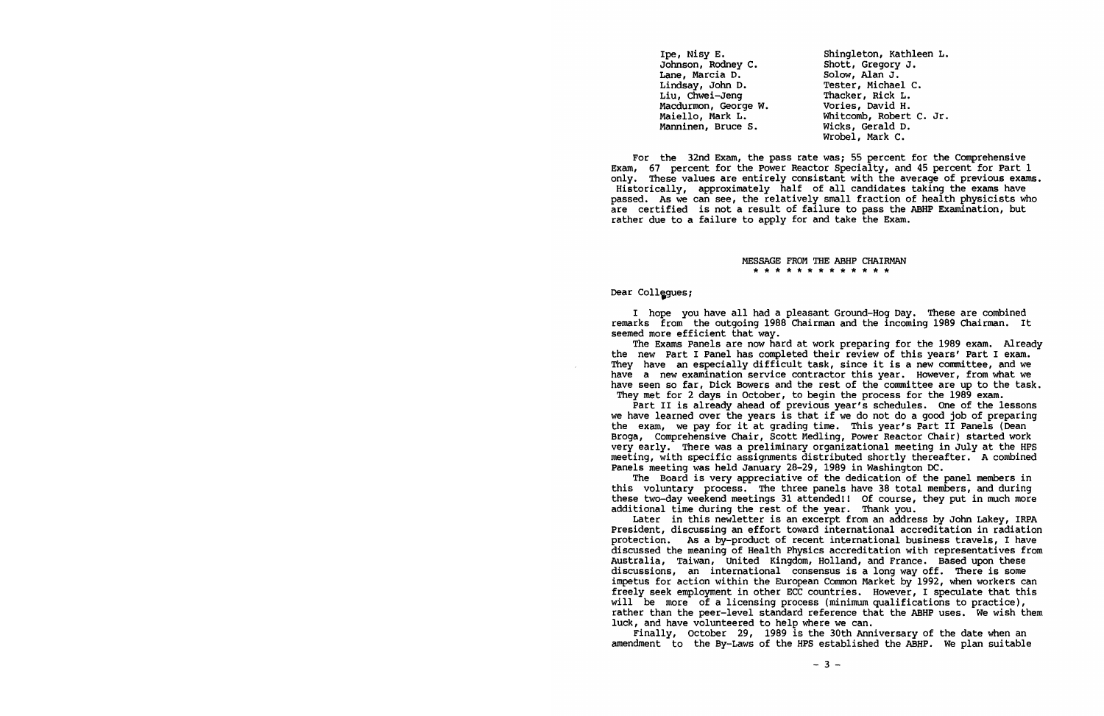| Ipe, Nisy E.         | Shingleton, Kathleen L. |
|----------------------|-------------------------|
| Johnson, Rodney C.   | Shott, Gregory J.       |
| Lane, Marcia D.      | Solow, Alan J.          |
| Lindsay, John D.     | Tester, Michael C.      |
| Liu, Chwei-Jeng      | Thacker, Rick L.        |
| Macdurmon, George W. | Vories, David H.        |
| Maiello, Mark L.     | Whitcomb, Robert C. Jr. |
| Manninen, Bruce S.   | Wicks, Gerald D.        |
|                      | Wrobel, Mark C.         |
|                      |                         |

For the 32nd Exam, the pass rate was; 55 percent for the Comprehensive Exam, 67 percent for the Power Reactor Specialty, and 45 percent for Part 1 only. These values are entirely consistant with the average of previous exams. Historically, approximately half of all candidates taking the exams have passed. As we can see, the relatively small fraction of health physicists who are certified is not a result of failure to pass the ABHP Examination, but rather due to a failure to apply for and take the Exam.

> **MESSAGE FROM THE ABHP CHAIRMAN**  \* \* \* \* \* \* \* \* \* \* \* \*

#### Dear Collegues;

I hope you have all had a pleasant Ground-Hog Day. These are combined remarks from the outgoing 1988 Chairman and the incoming 1989 Chairman. It seemed more efficient that way.

The Exams Panels are now hard at work preparing for the 1989 exam. Already the new Part I Panel has completed their review of this years' Part I exam. They have an especially difficult task, since it is a new committee, and we have a new examination service contractor this year. However, from what we have seen so far, Dick Bowers and the rest of the committee are up to the task. They met for 2 days in October, to begin the process for the 1989 exam.

Part II is already ahead of previous year's schedules. One of the lessons we have learned over the years is that if we do not do a good job of preparing the exam, we pay for it at grading time. This year's Part II Panels (Dean Broga, Comprehensive Chair, Scott Medling, Power Reactor Chair) started work very early. There was a preliminary organizational meeting in July at the HPS meeting, with specific assignments distributed shortly thereafter. A combined Panels meeting was held January 28-29, 1989 in Washington DC.

The Board is very appreciative of the dedication of the panel members in this voluntary process. The three panels have 38 total members, and during these two-day weekend meetings 31 attended!! Of course, they put in much more additional time during the rest of the year. Thank you.

Later in this newletter is an excerpt from an address by John Lakey, IRPA President, discussing an effort toward international accreditation in radiation protection. As a by-product of recent international business travels, I have discussed the meaning of Health Physics accreditation with representatives from Australia, Taiwan, United Kingdom, Holland, and France. Based upon these discussions, an international consensus is a long way off. There is some impetus for action within the European Common Market by 1992, when workers can freely seek employment in other ECC countries. However, I speculate that this will be more of a licensing process (minimum qualifications to practice), rather than the peer-level standard reference that the ABHP uses. We wish them luck, and have volunteered to help where we can.

Finally, October 29, 1989 is the 30th Anniversary of the date when an amendment to the By-Laws of the HPS established the ABHP. we plan suitable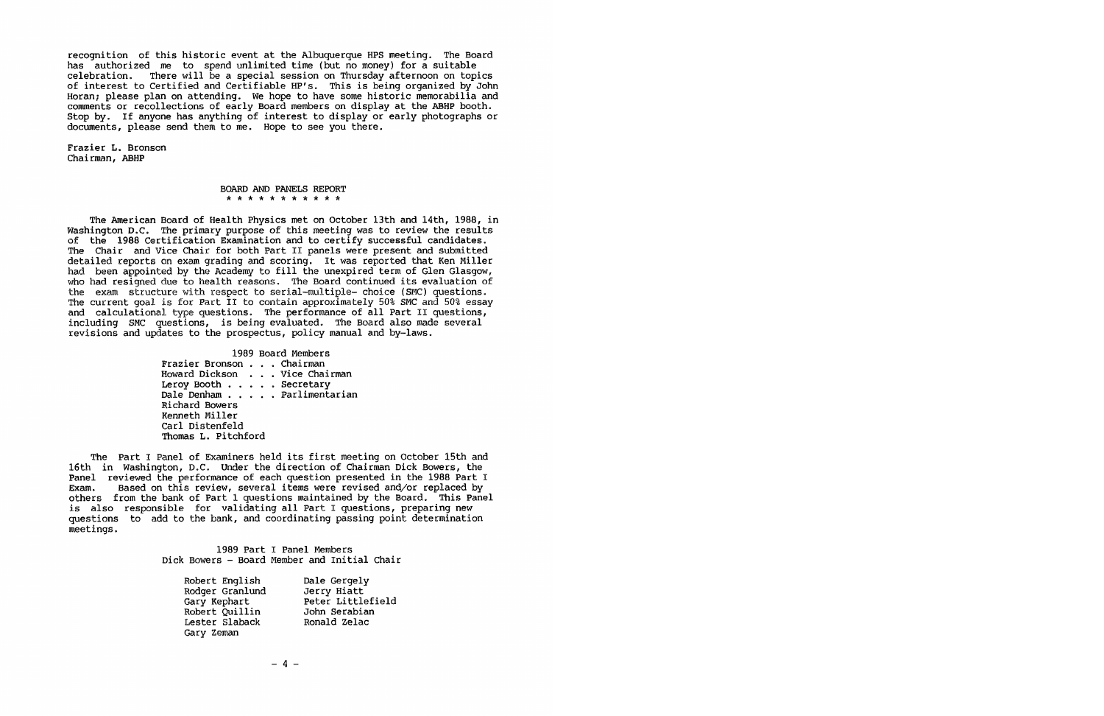recognition of this historic event at the Albuquerque HPS meeting. The Board has authorized me to spend unlimited time (but no money) for a suitable celebration. There will be a special session on Thursday afternoon on topics of interest to Certified and Certifiable HP's. This is being organized by John Horan; please plan on attending. We hope to have some historic memorabilia and comments or recollections of early Board members on display at the ABHP booth. Stop by. If anyone has anything of interest to display or early photographs or documents, please send them to me. Hope to see you there.

Frazier L. Bronson Chairman, ABHP

#### BOARD AND PANELS REPORT \* \* \* \* \* \* \* \* \* \* \*

The American Board of Health Physics met on October 13th and 14th, 1988, in Washington *D.C.* The primary purpose of this meeting was to review the results of the 1988 Certification Examination and to certify successful candidates. The Chair and Vice Chair for both Part II panels were present and submitted detailed reports on exam grading and scoring. It was reported that Ken Miller had been appointed by the Academy to fill the unexpired term of Glen Glasgow, who had resigned due to health reasons. The Board continued its evaluation of the exam structure with respect to serial-multiple- choice (SMC) questions. The current goal is for Part II to contain approximately 50% SMC and 50% essay and calculational type questions. The performance of all Part II questions, including SMC questions, is being evaluated. The Board also made several revisions and updates to the prospectus, policy manual and by-laws.

|                          | 1989 Board Members           |  |
|--------------------------|------------------------------|--|
| Frazier Bronson Chairman |                              |  |
|                          | Howard Dickson Vice Chairman |  |
| Leroy Booth Secretary    |                              |  |
|                          | Dale Denham Parlimentarian   |  |
| Richard Bowers           |                              |  |
| Kenneth Miller           |                              |  |
| Carl Distenfeld          |                              |  |
| Thomas L. Pitchford      |                              |  |

The Part I Panel of Examiners held its first meeting on October 15th and 16th in Washington, D.C. Under the direction of Chairman Dick Bowers, the Panel reviewed the performance of each question presented in the 1988 Part I Exam. Based on this review, several items were revised and/or replaced by others from the bank of Part 1 questions maintained by the Board. This Panel is also responsible for validating all Part I questions, preparing new questions to add to the bank, and coordinating passing point determination meetings.

> 1989 Part I Panel Members Dick Bowers - Board Member and Initial Chair

| Robert English  | Dale Gergely      |
|-----------------|-------------------|
| Rodger Granlund | Jerry Hiatt       |
| Gary Kephart    | Peter Littlefield |
| Robert Quillin  | John Serabian     |
| Lester Slaback  | Ronald Zelac      |
| Gary Zeman      |                   |

 $-4 -$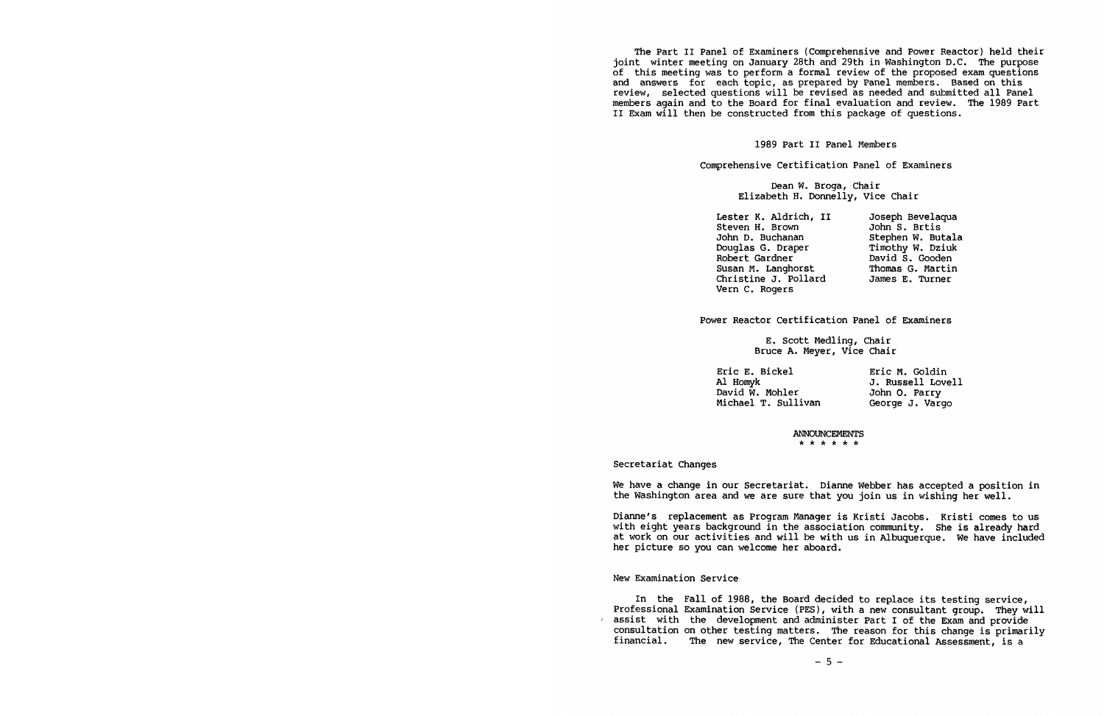The Part II Panel of Examiners (Comprehensive and Power Reactor) held their joint winter meeting on January 28th and 29th in Washington D.C. The purpose of this meeting was to perform a formal review of the proposed exam questions and answers for each topic, as prepared by Panel members. Based on this review, selected questions will be revised as needed and submitted all Panel members again and to the Board for final evaluation and review. The 1989 Part II Exam will then be constructed from this package of questions.

1989 Part II Panel Members

Comprehensive Certification Panel of Examiners

Dean W. Broga, Chair Elizabeth H. Donnelly, Vice Chair

Lester K. Aldrich, II Steven H. Brown John D. Buchanan Douglas G. Draper Robert Gardner Susan M. Langhorst Christine J. Pollard James E. Turner Vern c. Rogers Joseph Bevelaqua Johns. Brtis Stephen W. Butala Timothy W. Dziuk David S. Gooden Thomas G. Martin

Power Reactor Certification Panel of Examiners

E. Scott Medling, Chair Bruce A. Meyer, Vice Chair

Eric E. Bickel Al Homyk David w. Mohler Michael T. Sullivan Eric M. Goldin J. Russell Lovell John O. Parry George J. Vargo

> **ANNOUNCEMENTS**  \* \* \* \* \* \*

Secretariat Changes

We have a change in our Secretariat. Dianne Webber has accepted a position in the Washington area and we are sure that you join us in wishing her well.

Dianne's replacement as Program Manager is Kristi Jacobs. Kristi comes to us with eight years background in the association community. She is already hard at work on our activities and will be with us in Albuquerque. We have included her picture so you can welcome her aboard.

# New Examination Service

In the Fall of 1988, the Board decided to replace its testing service, Professional Examination Service (PES), with a new consultant group. They will<br>assist with the development and administer Part I of the Exam and provide consultation on other testing matters. The reason for this change is primarily financial. assist with the development and administer Part I of the Exam and provide The new service, The Center for Educational Assessment, is a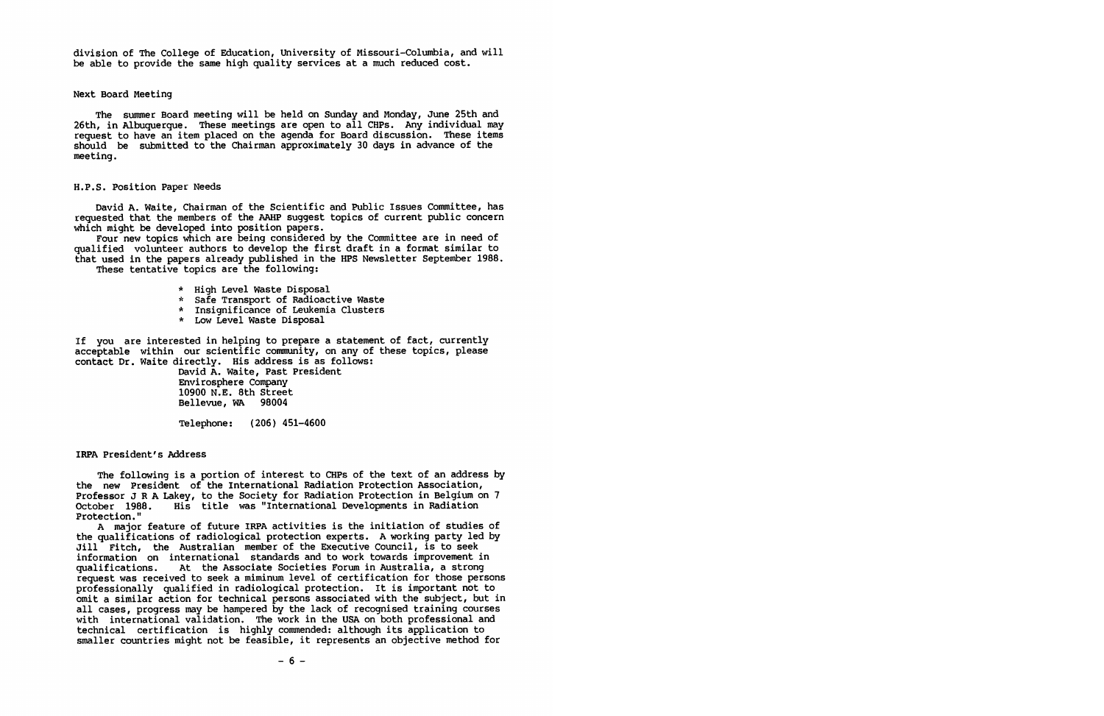division of The College of Education, University of Missouri-Columbia, and will be able to provide the same high quality services at a much reduced cost.

Next Board Meeting

The summer Board meeting will be held on Sunday and Monday, June 25th and 26th, in Albuquerque. These meetings are open to all CHPs. Any individual may request to have an item placed on the agenda for Board discussion. These items should be submitted to the Chairman approximately 30 days in advance of the meeting.

# H.P.S. Position Paper Needs

David A. Waite, Chairman of the Scientific and Public Issues Committee, has requested that the members of the AAHP suggest topics of current public concern which might be developed into position papers.

Four new topics which are being considered by the Committee are in need of qualified volunteer authors to develop the first draft in a format similar to that used in the papers already published in the HPS Newsletter September 1988. These tentative topics are the following:

- \* High Level waste Disposal
- \* Safe Transport of Radioactive waste
- \* Insignificance of Leukemia Clusters
- \* Low Level Waste Disposal

If you are interested in helping to prepare <sup>a</sup>statement of fact, currently acceptable within our scientific community, on any of these topics, please contact Dr. Waite directly. His address is as follows:

David A. Waite, Past President Envirosphere Company 10900 N.E. 8th Street Bellevue, WA 98004

Telephone: (206) 451-4600

IRPA President's Address

The following is a portion of interest to CHPs of the text of an address by the new President of the International Radiation Protection Association, Professor JR A Lakey, to the Society for Radiation Protection in Belgium on 7 October 1988. His title was "International Developments in Radiation Protection."

A major feature of future IRPA activities is the initiation of studies of the qualifications of radiological protection experts. A working party led by Jill Fitch, the Australian member of the Executive Council, is to seek information on international standards and to work towards improvement in qualifications. At the Associate Societies Forum in Australia, a strong request was received to seek a miminum level of certification for those persons professionally qualified in radiological protection. It is important not to omit a similar action for technical persons associated with the subject, but in all cases, progress may be hampered by the lack of recognised training courses with international validation. The work in the USA on both professional and technical certification is highly commended: although its application to smaller countries might not be feasible, it represents an objective method for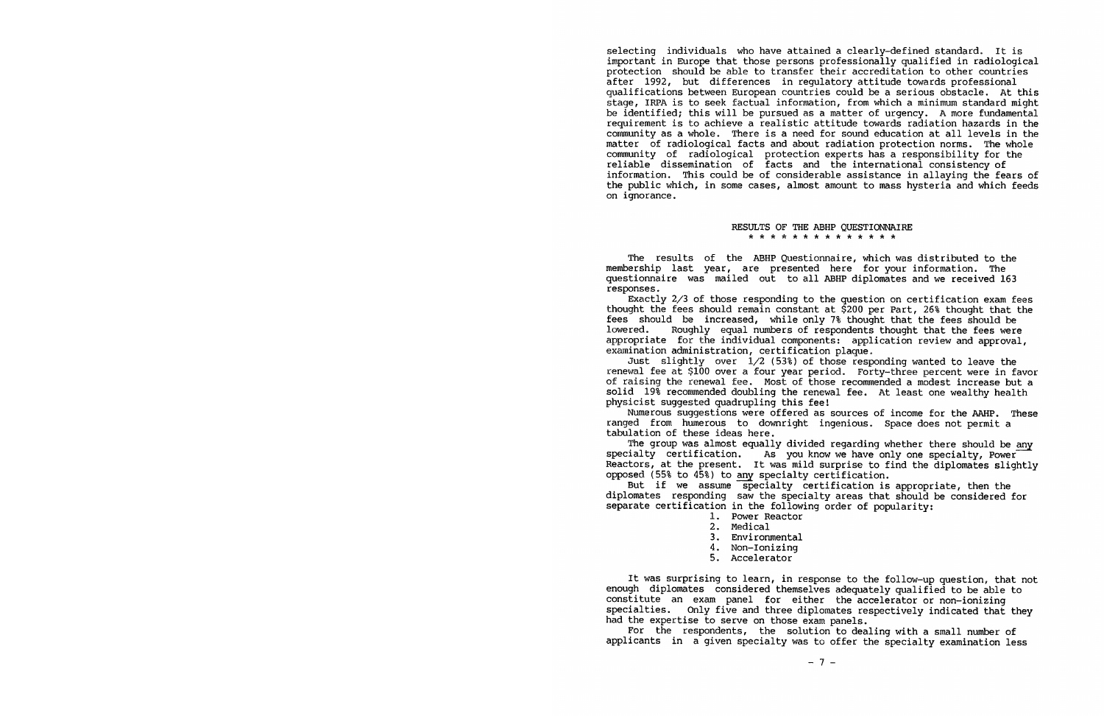selecting individuals who have attained a clearly-defined standard. It is important in Europe that those persons professionally qualified in radiological protection should be able to transfer their accreditation to other countries after 1992, but differences in regulatory attitude towards professional qualifications between European countries could be a serious obstacle. At this be identified; this will be pursued as a matter of urgency. A more fundamental requirement is to achieve a realistic attitude towards radiation hazards in the community as a whole. There is a need for sound education at all levels in the matter of radiological facts and about radiation protection norms. The whole community of radiological protection experts has <sup>a</sup>responsibility for the reliable dissemination of facts and the international consistency of information. This could be of considerable assistance in allaying the fears of the public which, in some cases, almost amount to mass hysteria and which feeds on ignorance.

#### RESULTS OF THE ABHP QUESTIONNAIRE \* \* \* \* \* \* \* \* \* \* \* \* \* \*

The results of the ABHP Questionnaire, which was distributed to the membership last year, are presented here for your information. The questionnaire was mailed out to all ABHP diplomates and we received 163 responses.

Exactly 2/3 of those responding to the question on certification exam fees thought the fees should remain constant at \$200 per Part, 26% thought that the fees should be increased, while only 7% thought that the fees should be lowered. Roughly equal numbers of respondents thought that the fees were Roughly equal numbers of respondents thought that the fees were appropriate for the individual components: application review and approval, examination administration, certification plaque.

Just slightly over  $1/2$  (53%) of those responding wanted to leave the renewal fee at \$100 over a four year period. Forty-three percent were in favor of raising the renewal fee. Most of those recommended a modest increase but <sup>a</sup> solid 19% recommended doubling the renewal fee. At least one wealthy health physicist suggested quadrupling this fee!

Numerous suggestions were offered as sources of income for the AAHP. These ranged from humerous to downright ingenious. Space does not permit <sup>a</sup> tabulation of these ideas here.

The group was almost equally divided regarding whether there should be any specialty certification. As you know we have only one specialty, Power As you know we have only one specialty, Power Reactors, at the present. It was mild surprise to find the diplomates slightly opposed (55% to 45%) to any specialty certification.

But if we assume specialty certification is appropriate, then the diplomates responding saw the specialty areas that should be considered for separate certification in the following order of popularity:

- 1. Power Reactor
- 2. Medical
- 3. Environmental
- 4. Non-Ionizing
- 5. Accelerator

It was surprising to learn, in response to the follow-up question, that not enough diplomates considered themselves adequately qualified to be able to constitute an exam panel for either the accelerator or non-ionizing<br>specialties. Only five and three diplomates respectively indicated that specialties. Only five and three diplomates respectively indicated that they had the expertise to serve on those exam panels.

For the respondents, the solution to dealing with a small number of applicants in <sup>a</sup>given specialty was to offer the specialty examination less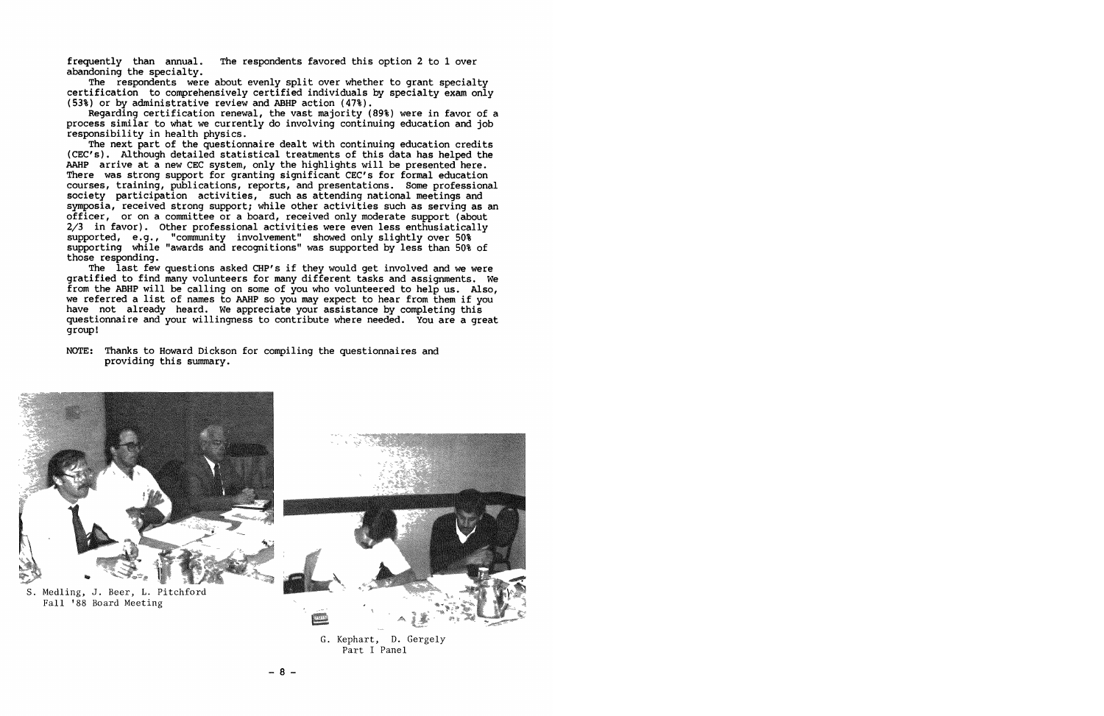frequently than annual. The respondents favored this option 2 to 1 over abandoning the specialty.

The respondents were about evenly split over whether to grant specialty certification to comprehensively certified individuals by specialty exam only (53%) or by administrative review and ABHP action (47%).

Regarding certification renewal, the vast majority (89%) were in favor of a process similar to what we currently do involving continuing education and job responsibility in health physics.

The next part of the questionnaire dealt with continuing education credits (CEC's). Although detailed statistical treatments of this data has helped the AAHP arrive at a new CEC system, only the highlights will be presented here. There was strong support for granting significant CEC's for formal education courses, training, publications, reports, and presentations. Some professional society participation activities, such as attending national meetings and symposia, received strong support; while other activities such as serving as an officer, or on a committee or a board, received only moderate support (about 2/3 in favor). Other professional activities were even less enthusiatically supported, e.g., "community involvement" showed only slightly over 50% supporting while "awards and recognitions" was supported by less than 50% of those responding.

The last few questions asked CHP's if they would get involved and we were gratified to find many volunteers for many different tasks and assignments. We from the ABHP will be calling on some of you who volunteered to help us. Also, we referred a list of names to AAHP so you may expect to hear from them if you have not already heard. We appreciate your assistance by completing this questionnaire and your willingness to contribute where needed. You are a great group!

# NOTE: Thanks to Howard Dickson for compiling the questionnaires and providing this summary.



S. Medling, J. Beer, L. Pitchford Fall '88 Board Meeting



G. Kephart, D. Gergely Part I Panel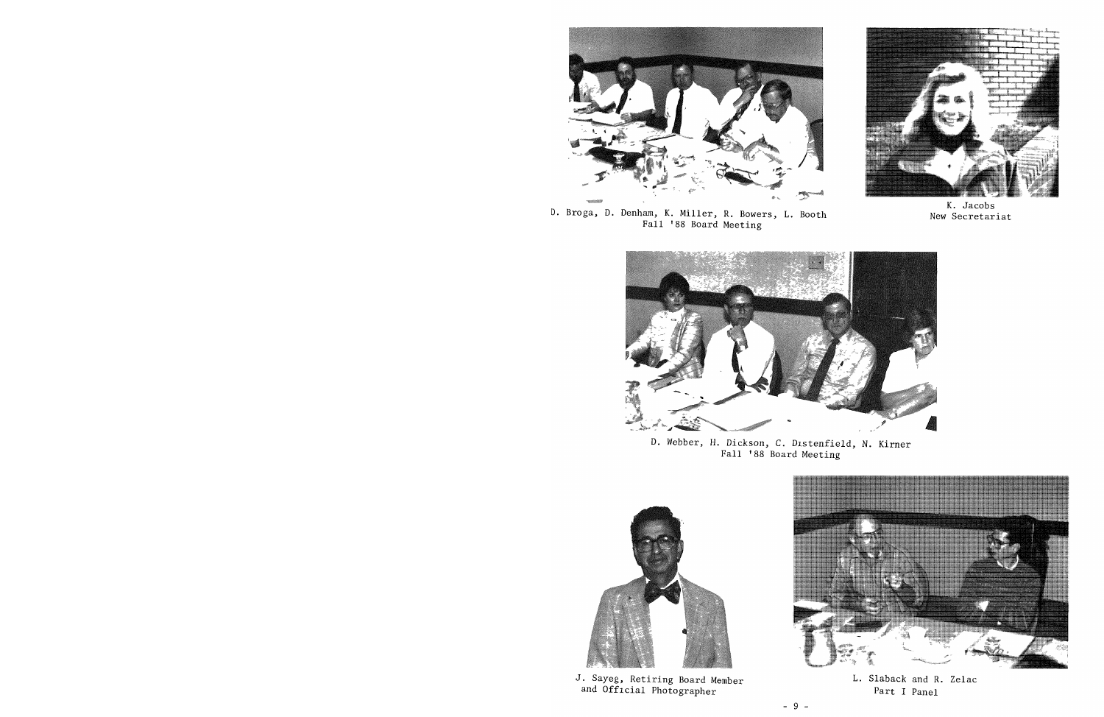

D. Braga, D. Denham, K. Miller, R. Bowers, L. Booth Fall '88 Board Meeting



**K.** Jacobs New Secretariat

![](_page_8_Picture_4.jpeg)

D. Webber, H. Dickson, C. D1stenfield, N. Kirner Fall '88 Board Meeting

![](_page_8_Picture_6.jpeg)

J. Sayeg, Retiring Board Member and Official Photographer

![](_page_8_Picture_8.jpeg)

L. Slaback and R. Zelac Part I Panel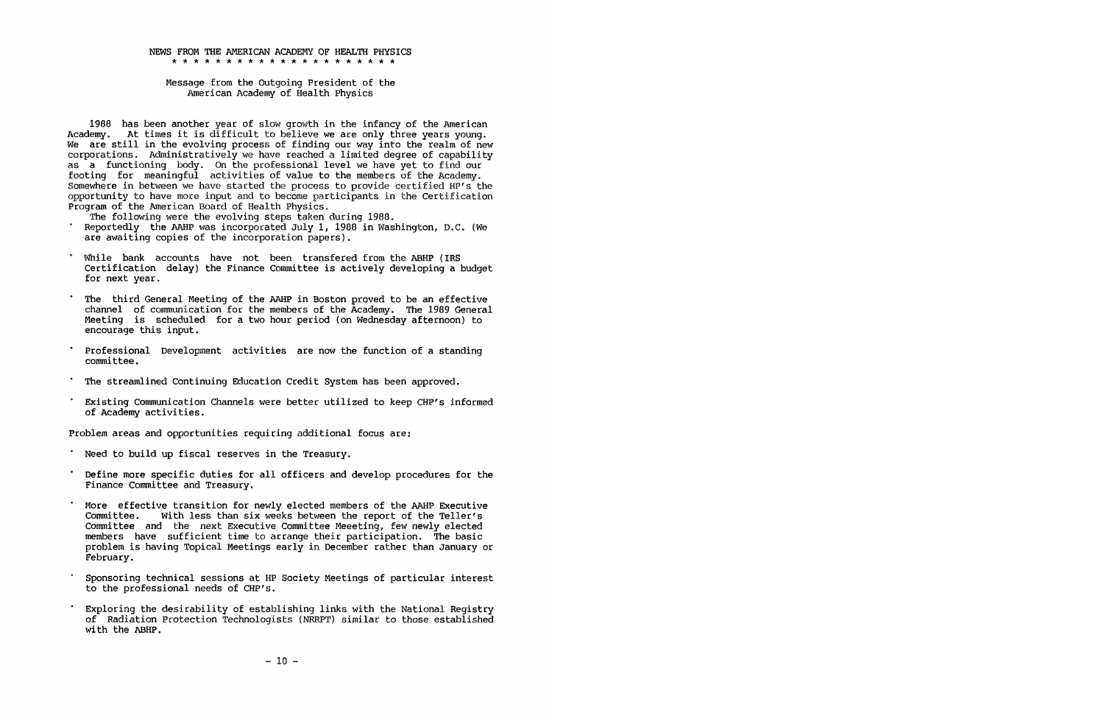#### **NEWS FROM THE AMERICAN ACADEMY OF HEALTH PHYSICS**  \* \* \* \* \* \* \* \* \* \* \* \* \* \* \* \* \* \* \* \* \*

Message from the Outgoing President of the American Academy of Health Physics

1988 has been another year of slow growth in the infancy of the American Academy. At times it is difficult to believe we are only three years young. We are still in the evolving process of finding our way into the realm of new corporations. Administratively we have reached a limited degree of capability as a functioning body. On the professional level we have yet to find our footing for meaningful activities of value to the members of the Academy. Somewhere in between we have started the process to provide certified HP's the opportunity to have more input and to become participants in the Certification Program of the American Board of Health Physics.<br>The following were the evolving steps taken during 1988.

- 
- Reportedly the AAHP was incorporated July 1, 1988 in Washington, D.C. (We are awaiting copies of the incorporation papers).
- While bank accounts have not been transfered from the ABHP (IRS Certification delay) the Finance Committee is actively developing a budget for next year.
- The third General Meeting of the AAHP in Boston proved to be an effective channel of communication for the members of the Academy. The 1989 General Meeting is scheduled for a two hour period (on Wednesday afternoon) to encourage this input.
- Professional Development activities are now the function of a standing committee.
- The streamlined Continuing Education Credit System has been approved.
- Existing Communication Channels were better utilized to keep CHP's informed of Academy activities.

Problem areas and opportunities requiring additional focus are:

- Need to build up fiscal reserves in the Treasury.
- Define more specific duties for all officers and develop procedures for the Finance Committee and Treasury.
- More effective transition for newly elected members of the AAHP Executive<br>Committee. With less than six weeks between the report of the Teller's With less than six weeks between the report of the Teller's Committee and the next Executive Committee Meeeting, few newly elected members have sufficient time to arrange their participation. The basic problem is having Topical Meetings early in December rather than January or February.
- Sponsoring technical sessions at HP Society Meetings of particular interest to the professional needs of CHP's.
- Exploring the desirability of establishing links with the National Reqistry of Radiation Protection Technologists (NRRPT) similar to those established with the ABHP.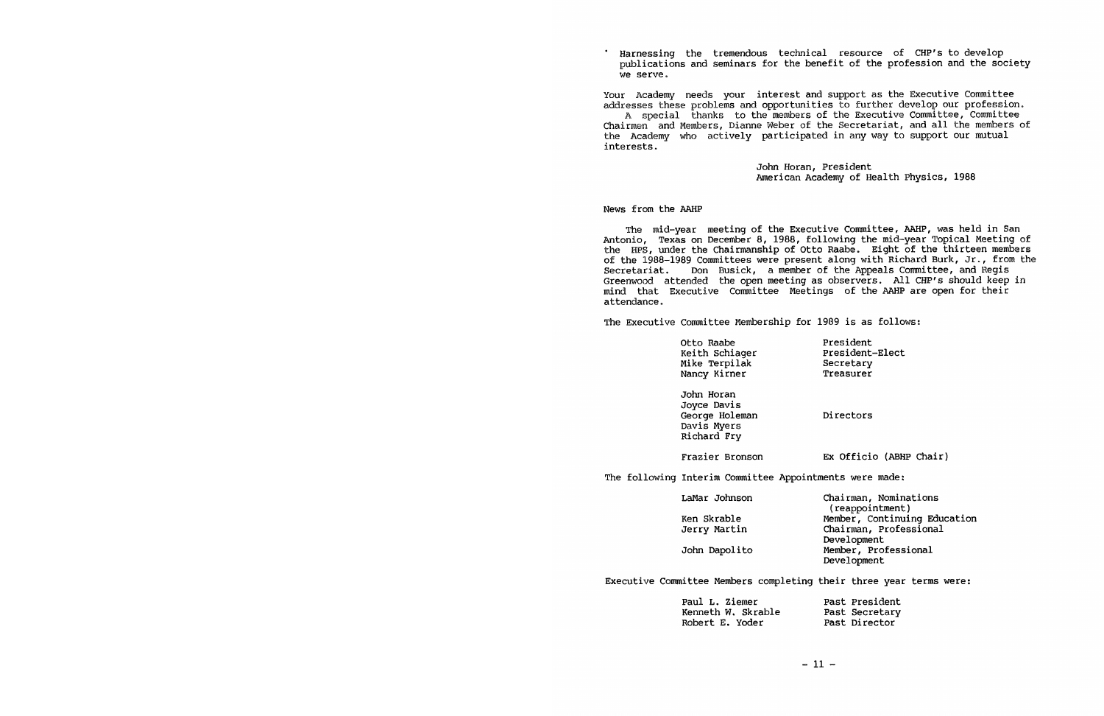Harnessing the tremendous technical resource of CHP's to develop publications and seminars for the benefit of the profession and the society we serve.

Your Academy needs your interest and support as the Executive Committee addresses these problems and opportunities to further develop our profession. A special thanks to the members of the Executive Committee, Committee Chairmen and Members, Dianne Weber of the Secretariat, and all the members of the Academy who actively participated in any way to support our mutual interests.

> John Horan, President American Academy of Health Physics, 1988

News from the AAHP

The mid-year meeting of the Executive Committee, AAHP, was held in San Antonio, Texas on December 8, 1988, following the mid-year Topical Meeting of the HPS, under the Chairmanship of Otto Raabe. Eight of the thirteen members of the 1988-1989 Committees were presen<sup>t</sup>along with Richard Burk, Jr., from the Secretariat. Don Busick, a member of the Appeals Committee, and Regis Greenwood attended the open meeting as observers. All CHP's should keep in mind that Executive Committee Meetings of the AAHP are open for their attendance.

The Executive Committee Membership for 1989 is as follows:

| Otto Raabe     | President       |
|----------------|-----------------|
| Keith Schiager | President-Elect |
| Mike Terpilak  | Secretary       |
| Nancy Kirner   | Treasurer       |

John Horan Joyce Davis George Holeman Davis Myers Richard Fry

Directors

Frazier Bronson

Ex Officio (ABHP Chair)

The following Interim Committee Appointments were made:

| LaMar Johnson | Chairman, Nominations        |
|---------------|------------------------------|
|               | (reappointment)              |
| Ken Skrable   | Member, Continuing Education |
| Jerry Martin  | Chairman, Professional       |
|               | Development                  |
| John Dapolito | Member, Professional         |
|               | Development                  |

Executive Committee Members completing their three year terms were:

| Paul L. Ziemer     | Past President |
|--------------------|----------------|
| Kenneth W. Skrable | Past Secretary |
| Robert E. Yoder    | Past Director  |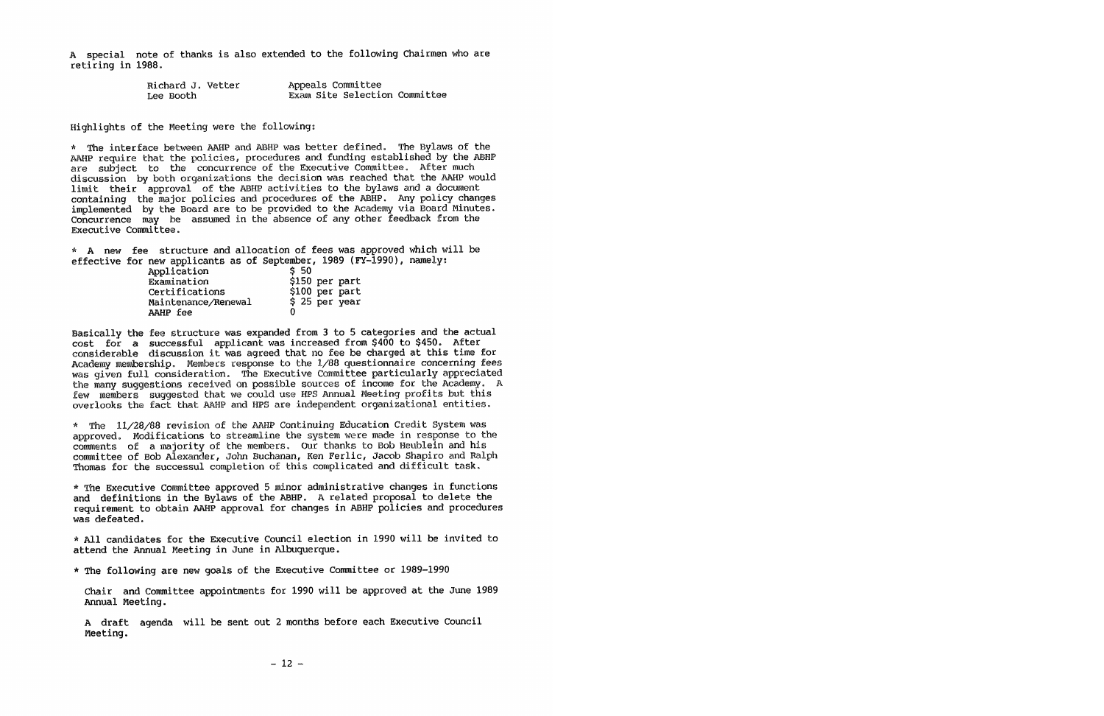<sup>A</sup>special note of thanks is also extended to the following Chairmen who are retiring in 1988.

| Richard J. Vetter | Appeals Committee             |
|-------------------|-------------------------------|
| Lee Booth         | Exam Site Selection Committee |

Highlights of the Meeting were the following:

\* The interface between AAHP and ABHP was better defined. The Bylaws of the AAHP require that the policies, procedures and funding established by the ABHP are subject to the concurrence of the Executive Committee. After much discussion by both organizations the decision was reached that the AAHP would limit their approval of the ABHP activities to the bylaws and a document containing the major policies and procedures of the ABHP. Any policy changes implemented by the Board are to be provided to the Academy via Board Minutes. Concurrence may be assumed in the absence of any other feedback from the Executive Committee.

\* A new fee structure and allocation of fees was approved which will be effective for new applicants as of September, 1989 (FY-1990), namely:

| Application         | \$50           |
|---------------------|----------------|
| Examination         | \$150 per part |
| Certifications      | \$100 per part |
| Maintenance/Renewal | \$25~per~year  |
| AAHP fee            | O              |

Basically the fee structure was expanded from 3 to 5 categories and the actual cost for a successful applicant was increased from \$400 to \$450. After considerable discussion it was agreed that no fee be charged at this time for Academy membership. Members response to the 1/88 questionnaire concerning fees was given full consideration. The Executive Committee particularly appreciated the many suggestions received on possible sources of income for the Academy. <sup>A</sup> few members suggested that we could use HPS Annual Meeting profits but this overlooks the fact that AAHP and HPS are independent organizational entities.

\* The 11/28/88 revision of the AAHP Continuing Education Credit System was approved. Modifications to streamline the system were made in response to the comments of a majority of the members. our thanks to Bob Heublein and his committee of Bob Alexander, John Buchanan, Ken Ferlic, Jacob Shapiro and Ralph Thomas for the successul completion of this complicated and difficult task.

\* The Executive Committee approved 5 minor administrative changes in functions and definitions in the Bylaws of the ABHP. A related proposal to delete the requirement to obtain AAHP approval for changes in ABHP policies and procedures was defeated.

\* All candidates for the Executive Council election in 1990 will be invited *to*  attend the Annual Meeting in June in Albuquerque.

\* The following are new goals of the Executive Committee or 1989-1990

Chair and Committee appointments for 1990 will be approved at the June 1989 Annual Meeting.

<sup>A</sup>draft agenda will be sent out 2 months before each Executive Council Meeting.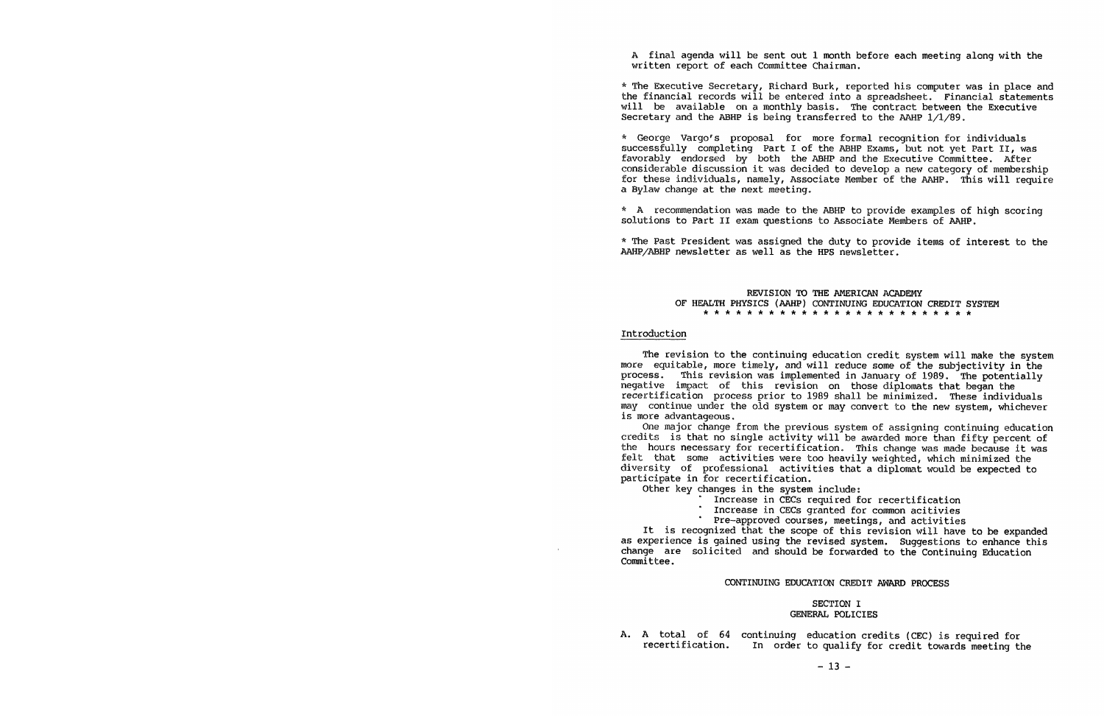<sup>A</sup>final agenda will be sent out 1 month before each meeting along with the written report of each Committee Chairman.

\* The Executive Secretary, Richard Burk, reported his computer was in place and the financial records will be entered into a spreadsheet. Financial statements will be available on a monthly basis. The contract between the Executive Secretary and the ABHP is being transferred to the AAHP  $1/1/89$ .

\* George Vargo's proposal for more formal recognition for individuals successfully completing Part I of the ABHP Exams, but not yet Part II, was favorably endorsed by both the ABHP and the Executive Committee. After considerable discussion it was decided to develop a new category of membership<br>for these individuals, namely, Associate Member of the AAHP. This will require a Bylaw change at the next meeting.

\* A recommendation was made to the ABHP to provide examples of high scoring solutions to Part II exam questions to Associate Members of MHP.

\* The Past President was assigned the duty to provide items of interest to the AAHP/ABHP newsletter as well as the HPS newsletter.

# **REVISION TO THE AMERICAN ACADEMY**  OF HEALTH PHYSICS (AAHP) CONTINUING EDUCATION CREDIT SYSTEM \* \* \* \* \* \* \* \* \* \* \* \* \* \* \* \* \* \* \* \* \* \* \* \* \*

# Introduction

The revision to the continuing education credit system will make the system more equitable, more timely, and will reduce some of the subjectivity in the process. This revision was implemented in January of 1989. The potentially negative impact of this revision on those diplomats that began the recertification process prior to 1989 shall be minimized. These individuals may continue under the old system or may convert to the new system, whichever is more advantageous.

One major change from the previous system of assigning continuing education credits is that no single activity will be awarded more than fifty percent of the hours necessary for recertification. This change was made because it was felt that some activities were too heavily weighted, which minimized the diversity of professional activities that a diplomat would be expected to participate in for recertification.

Other key changes in the system include:

- Increase in CECs required for recertification
- Increase in CECs granted for common acitivies
	- Pre-approved courses, meetings, and activities

It is recognized that the scope of this revision will have to be expanded as experience is gained using the revised system. Suggestions to enhance this change are solicited and should be forwarded to the Continuing Education Committee.

## **CONTINUING EDUCATION** CREDIT **AWARD PROCESS**

# **SECTION** I **GENERAL POLICIES**

A. A total of 64 continuing education credits (CEC) is required for recertification. In order to qualify for credit towards meeting the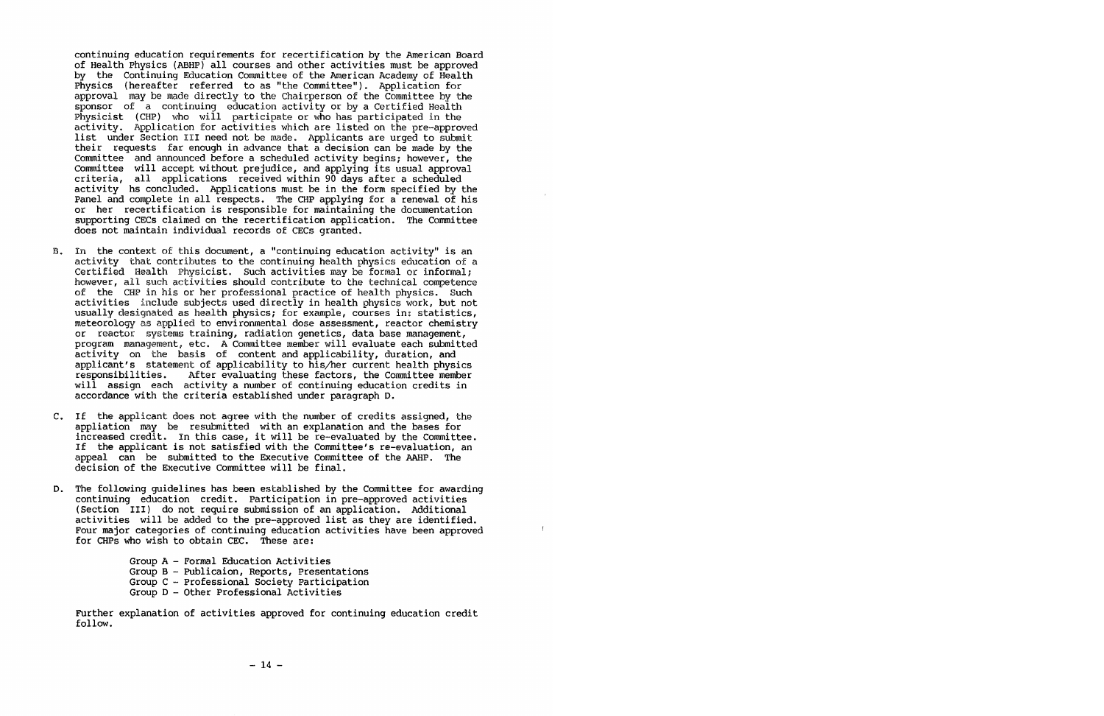continuing education requirements for recertification by the American Board of Health Physics (ABHP) all courses and other activities must be approved by the Continuing Education Committee of the American Academy of Health Physics (hereafter referred to as "the Committee"). Application for approval may be made directly to the Chairperson of the Committee by the sponsor of a continuing education activity or by a Certified Health Physicist (CHP) who will participate or who has participated in the activity. Application for activities which are listed on the pre-approved list under Section III need not be made. Applicants are urged to submit their requests far enough in advance that a decision can be made by the Committee and announced before a scheduled activity begins; however, the Committee will accept without prejudice, and applying its usual approval criteria, all applications received within 90 days after a scheduled activity hs concluded. Applications must be in the form specified by the Panel and complete in all respects. The CHP applying for a renewal of his or her recertification is responsible for maintaining the documentation supporting CECs claimed on the recertification application. The Committee does not maintain individual records of CECs granted.

- B. In the context of this document, a "continuing education activity" is an activity that contributes to the continuing health physics education of a Certified Health Physicist. Such activities may be formal or informal; however, all such activities should contribute to the technical competence of the CHP in his or her professional practice of health physics. Such activities include subjects used directly in health physics work, but not usually designated as health physics; for example, courses in: statistics, meteorology as applied to environmental dose assessment, reactor chemistry or reactor systems training, radiation genetics, data base management, program management, etc. A Committee member will evaluate each submitted activity on the basis of content and applicability, duration, and applicant's statement of applicability to his/her current health physics After evaluating these factors, the Committee member will assign each activity a number of continuing education credits in accordance with the criteria established under paragraph D.
- C. If the applicant does not agree with the number of credits assigned, the appliation may be resubmitted with an explanation and the bases for increased credit. In this case, it will be re-evaluated by the Committee. If the applicant is not satisfied with the Committee's re-evaluation, an appeal can be submitted to the Executive Committee of the AAHP. The decision of the Executive Committee will be final.
- D. The following guidelines has been established by the Committee for awarding continuing education credit. Participation in pre-approved activities (Section III) do not require submission of an application. Additional activities will be added to the pre-approved list as they are identified. Four major categories of continuing education activities have been approved for CHPs who wish to obtain CEC. These are:

 $\mathcal{A}$ 

Group A - Formal Education Activities Group B - Publicaion, Reports, Presentations Group C - Professional Society Participation Group D - Other Professional Activities

Further explanation of activities approved for continuing education credit follow.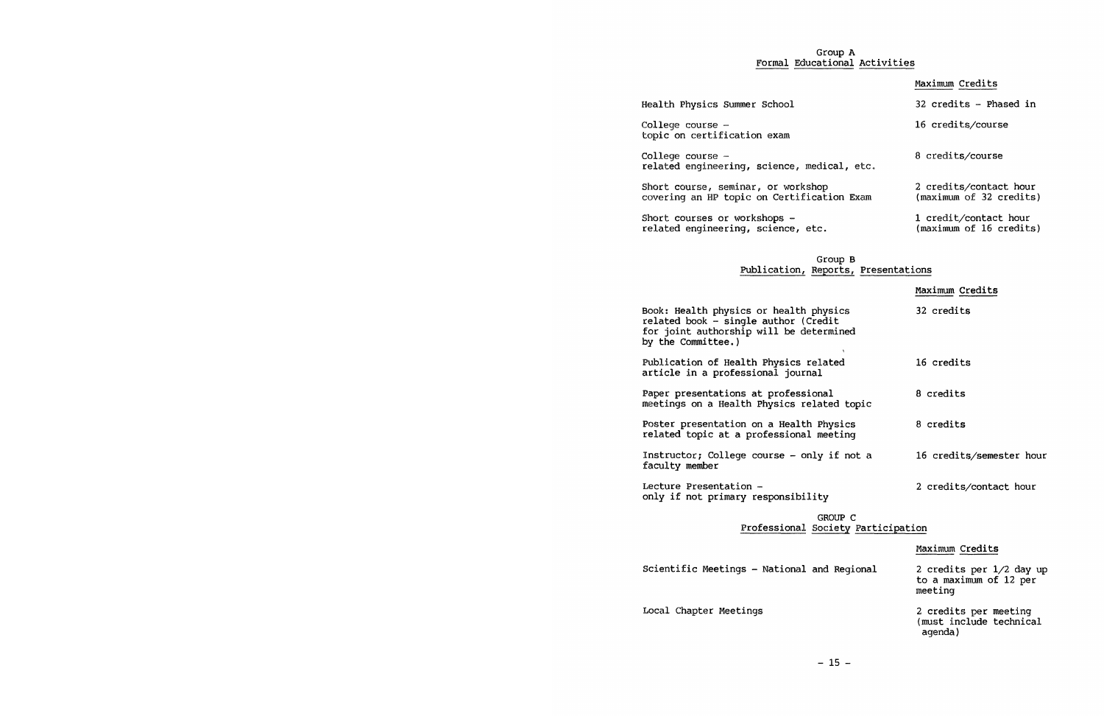# Group A Formal Educational Activities

|                                                                                  | Maximum Credits                                   |
|----------------------------------------------------------------------------------|---------------------------------------------------|
| Health Physics Summer School                                                     | 32 credits - Phased in                            |
| College course -<br>topic on certification exam                                  | 16 credits/course                                 |
| College course -<br>related engineering, science, medical, etc.                  | 8 credits/course                                  |
| Short course, seminar, or workshop<br>covering an HP topic on Certification Exam | 2 credits/contact hour<br>(maximum of 32 credits) |
| Short courses or workshops -<br>related engineering, science, etc.               | 1 credit/contact hour<br>(maximum of 16 credits)  |

# Group B Publication, Reports, Presentations

|                                                                                                                                                 | Maximum Credits          |
|-------------------------------------------------------------------------------------------------------------------------------------------------|--------------------------|
| Book: Health physics or health physics<br>related book - single author (Credit<br>for joint authorship will be determined<br>by the Committee.) | 32 credits               |
| Publication of Health Physics related<br>article in a professional journal                                                                      | 16 credits               |
| Paper presentations at professional<br>meetings on a Health Physics related topic                                                               | 8 credits                |
| Poster presentation on a Health Physics<br>related topic at a professional meeting                                                              | 8 credits                |
| Instructor; College course - only if not a<br>faculty member                                                                                    | 16 credits/semester hour |
| Lecture Presentation -<br>only if not primary responsibility                                                                                    | 2 credits/contact hour   |

# GROUP C Professional Society Participation

Maximum Credits

Scientific Meetings - National and Regional

Local Chapter Meetings

2 credits per 1/2 day up to a maximum of 12 per meeting

2 credits per meeting (must include technical agenda)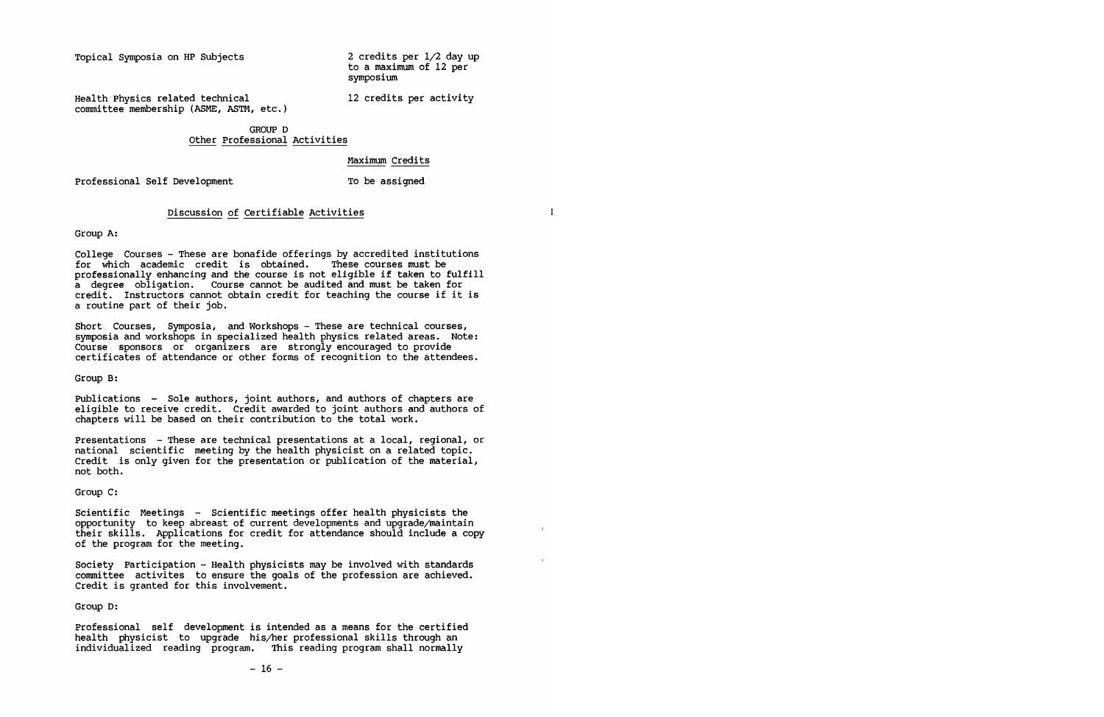Topical Symposia on HP Subjects

2 credits per 1/2 day up to a maximum of 12 per symposium

Health Physics related technical committee membership (ASME, ASTM, etc.) 12 credits per activity

 $\epsilon$ 

# GROUP D Other Professional Activities

**Maximum** Credits

To be assigned

Professional Self Development

# Discussion of Certifiable Activities

Group A:

College Courses - These are bonafide offerings by accredited institutions for which academic credit is obtained. These courses must be professionally enhancing and the course is not eligible if taken to fulfill a degree obligation. Course cannot be audited and must be taken for credit. Instructors cannot obtain credit for teaching the course if it is a routine part of their job.

Short Courses, Symposia, and Workshops - These are technical courses, symposia and workshops in specialized health physics related areas. Note: Course sponsors or organizers are strongly encouraged to provide certificates of attendance or other forms of recognition to the attendees.

Group B:

Publications - Sole authors, joint authors, and authors of chapters are eligible to receive credit. Credit awarded to joint authors and authors of chapters will be based on their contribution to the total work.

Presentations - These are technical presentations at a local, regional, or national scientific meeting by the health physicist on a related topic. Credit is only given for the presentation or publication of the material, not both.

Group C:

Scientific Meetings - Scientific meetings offer health physicists the opportunity to keep abreast of current developments and upgrade/maintain their skills. Applications for credit for attendance should include a copy of the program for the meeting.

Society Participation - Health physicists may be involved with standards committee activites to ensure the goals of the profession are achieved. Credit is granted for this involvement.

Group D:

Professional self development is intended as a means for the certified health physicist to upgrade his/her professional skills through an individualized reading program. This reading program shall normally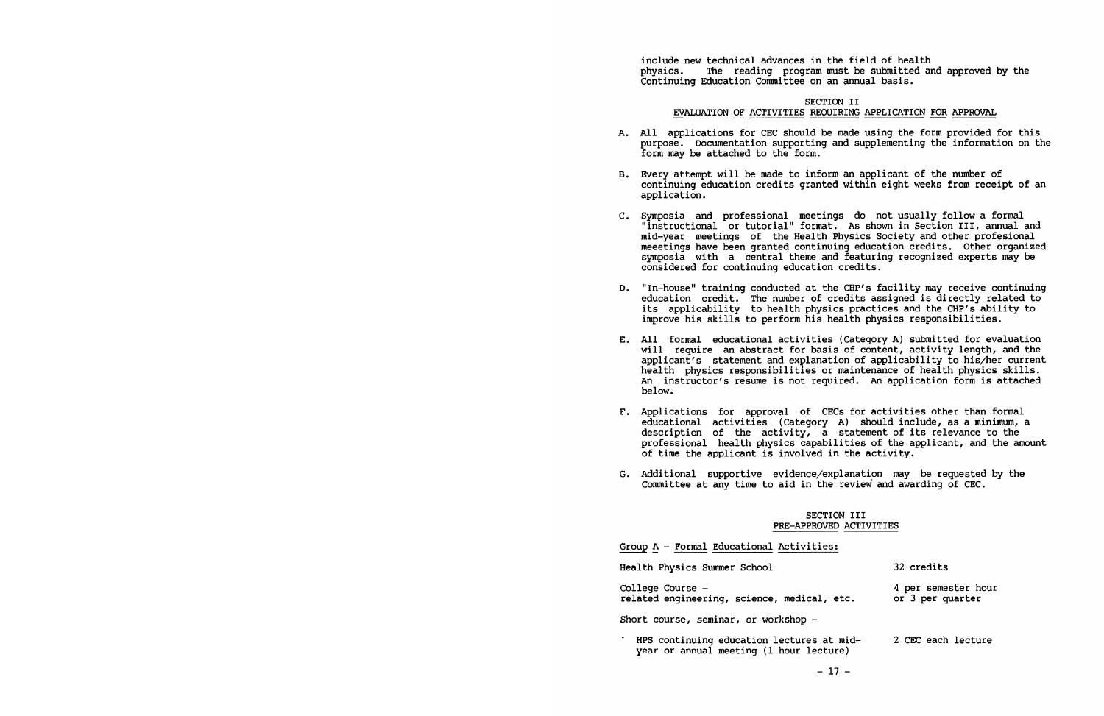include new technical advances in the field of health<br>physics. The reading program must be submitted are The reading program must be submitted and approved by the Continuing Education Committee on an annual basis.

# SECTION II EVALUATION OF ACTIVITIES REQUIRING APPLICATION FOR APPROVAL

- A. All applications for CEC should be made using the form provided for this purpose. Documentation supporting and supplementing the information on the form may be attached to the form.
- B. Every attempt will be made to inform an applicant of the number of continuing education credits granted within eight weeks from receipt of an application.
- C. Symposia and professional meetings do not usually follow a formal "instructional or tutorial" format. As shown in Section III, annual and mid-year meetings of the Health Physics Society and other profesional meeetings have been granted continuing education credits. Other organized symposia with a central theme and featuring recognized experts may be considered for continuing education credits.
- D. "In-house" training conducted at the CHP's facility may receive continuing education credit. The number of credits assigned is directly related to its applicability to health physics practices and the CHP's ability to improve his skills to perform his health physics responsibilities.
- E. All formal educational activities (Category A) submitted for evaluation will require an abstract for basis of content, activity length, and the applicant's statement and explanation of applicability to his/her current health physics responsibilities or maintenance of health physics skills. An instructor's resume is not required. An application form is attached below.
- F. Applications for approval of CECs for activities other than formal educational activities (Category A) should include, as a minimum, a description of the activity, a statement of its relevance to the professional health physics capabilities of the applicant, and the amount of time the applicant is involved in the activity.
- G. Additional supportive evidence/explanation may be requested by the Committee at any time to aid in the review and awarding of CEC.

# **SECTION** III **PRE-APPROVED ACTIVITIES**

| Group A - Formal Educational Activities:                                             |                                         |
|--------------------------------------------------------------------------------------|-----------------------------------------|
| Health Physics Summer School                                                         | 32 credits                              |
| College Course -<br>related engineering, science, medical, etc.                      | 4 per semester hour<br>or 3 per quarter |
| Short course, seminar, or workshop -                                                 |                                         |
| HPS continuing education lectures at mid-<br>year or annual meeting (1 hour lecture) | 2 CEC each lecture                      |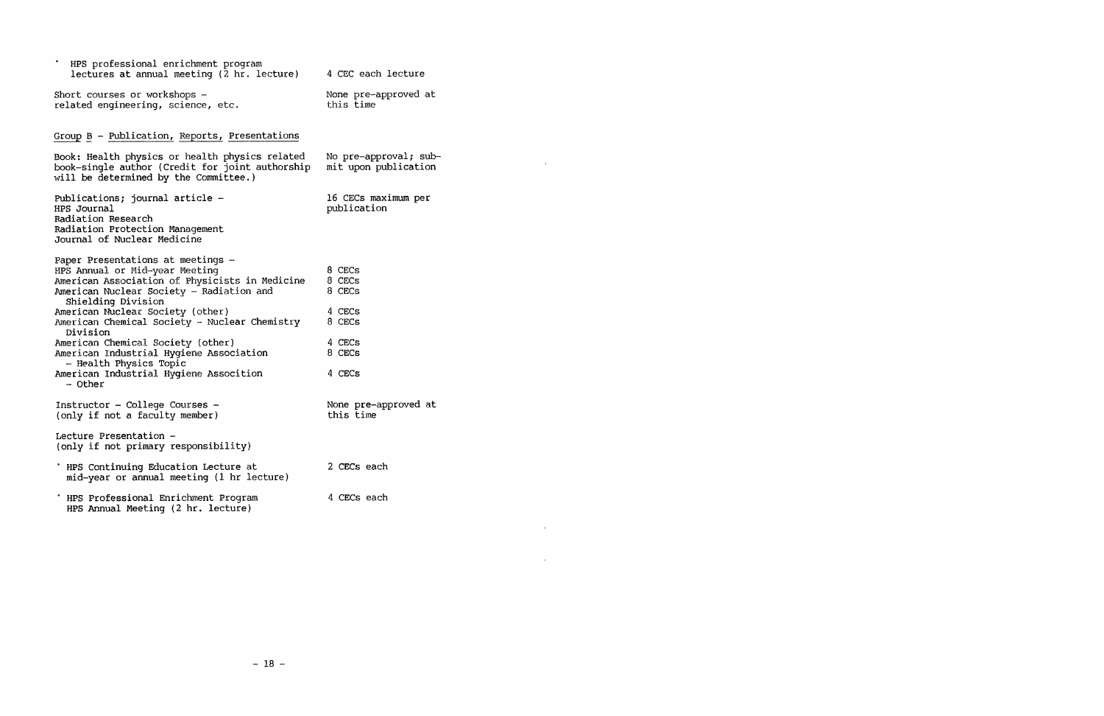| HPS professional enrichment program<br>lectures at annual meeting (2 hr. lecture)                                                                                                                                                                                                                                             | 4 CEC each lecture                                       |
|-------------------------------------------------------------------------------------------------------------------------------------------------------------------------------------------------------------------------------------------------------------------------------------------------------------------------------|----------------------------------------------------------|
| Short courses or workshops -<br>related engineering, science, etc.                                                                                                                                                                                                                                                            | None pre-approved at<br>this time                        |
| Group B - Publication, Reports, Presentations                                                                                                                                                                                                                                                                                 |                                                          |
| Book: Health physics or health physics related<br>book-single author (Credit for joint authorship<br>will be determined by the Committee.)                                                                                                                                                                                    | No pre-approval; sub-<br>mit upon publication            |
| Publications; journal article -<br>HPS Journal<br>Radiation Research<br>Radiation Protection Management<br>Journal of Nuclear Medicine                                                                                                                                                                                        | 16 CECs maximum per<br>publication                       |
| Paper Presentations at meetings -<br>HPS Annual or Mid-year Meeting<br>American Association of Physicists in Medicine<br>American Nuclear Society - Radiation and<br>Shielding Division<br>American Nuclear Society (other)<br>American Chemical Society - Nuclear Chemistry<br>Division<br>American Chemical Society (other) | 8 CECs<br>8 CECs<br>8 CECs<br>4 CECs<br>8 CECs<br>4 CECs |
| American Industrial Hygiene Association<br>- Health Physics Topic<br>American Industrial Hygiene Assocition<br>$-$ Other                                                                                                                                                                                                      | 8 CECs<br>4 CECs                                         |
| Instructor - College Courses -<br>(only if not a faculty member)                                                                                                                                                                                                                                                              | None pre-approved at<br>this time                        |
| Lecture Presentation -<br>(only if not primary responsibility)                                                                                                                                                                                                                                                                |                                                          |
| ' HPS Continuing Education Lecture at<br>mid-year or annual meeting (1 hr lecture)                                                                                                                                                                                                                                            | 2 CECs each                                              |
| . HPS Professional Enrichment Program<br>HPS Annual Meeting (2 hr. lecture)                                                                                                                                                                                                                                                   | 4 CECs each                                              |

 $\chi$ 

 $\overline{\mathbf{r}}$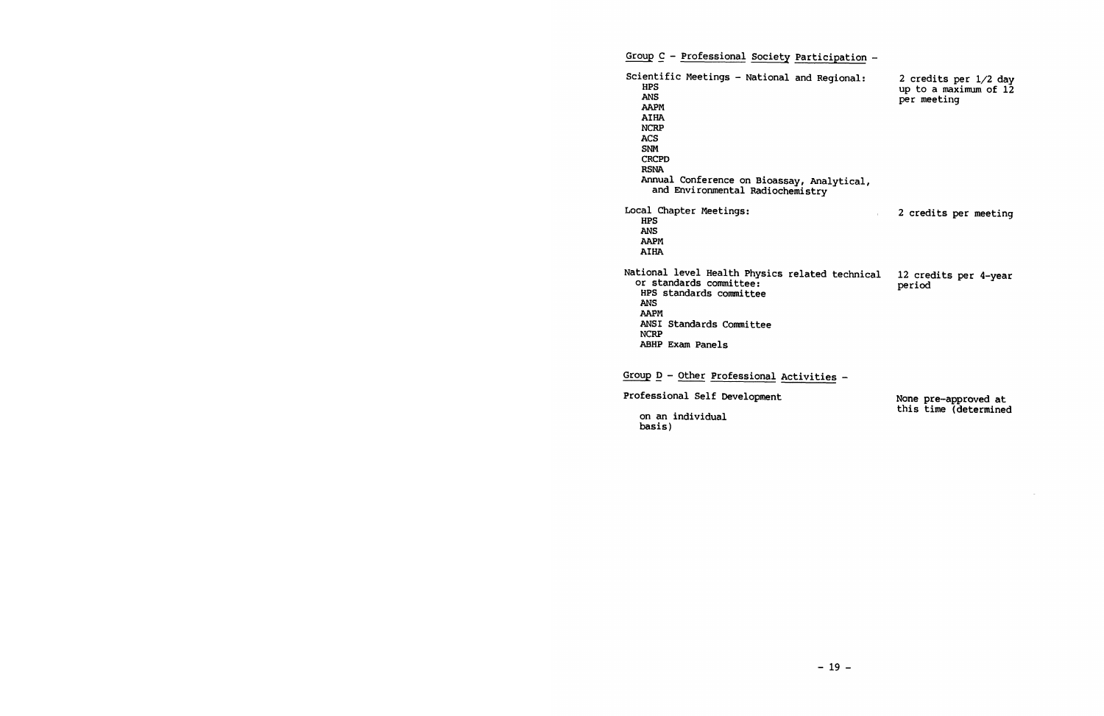Group C - Professional Society Participation -Scientific Meetings - National and Regional: **HPS**  2 credits per 1/2 day up to a maximum of  $12$ **ANS**  per meeting **AAPM AIHA NCRP ACS SNM CRCPD RSNA**  Annual Conference on Bioassay, Analytical, and Environmental Radiochemistry Local Chapter Meetings: <sup>2</sup>credits per meeting  $\mathcal{L}$ **HPS ANS AAPM AIHA**  National level Health Physics related technical 12 credits per 4-year<br>period or standards committee: HPS standards committee **ANS AAPM**  ANSI Standards Committee **NCRP**  ABHP Exam Panels Group  $D -$  Other Professional Activities -Professional Self Development None pre-approved at

on an individual basis)

this time (determined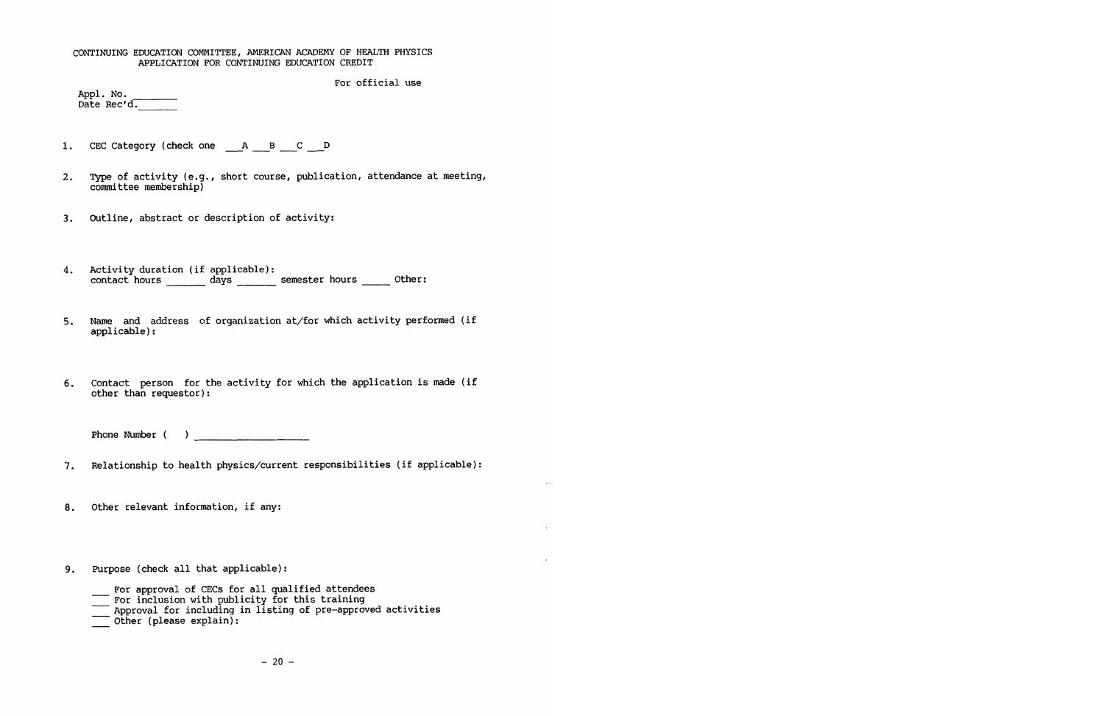# CONTINUING EDUCATION COMMITTEE, AMERICAN ACADEMY OF HEALTH PHYSICS APPLICATION FOR CONTINUING EDUCATION CREDIT

For official use

| Appl. No. |             |  |
|-----------|-------------|--|
|           | Date Rec'd. |  |

---

- 1. CEC Category (check one  $\begin{array}{cccc} & A & B & C \ \end{array}$
- 2. Type of activity (e.g., short course, publication, attendance at meeting, committee membership)
- 3. outline, abstract or description of activity:
- 4. Activity duration (if applicable): contact hours days emester hours other:
- 5. Name and address of organization at/for which activity performed (if applicable):
- 6. Contact person for the activity for which the application is made (if other than requestor):

Phone Number

- 7. Relationship to health physics/current responsibilities (if applicable):
- 8. Other relevant information, if any:
- 9. Purpose (check all that applicable):
	- For approval of CECs for all qualified attendees
	- For inclusion with publicity for this training
	- Approval for including in listing of pre-approved activities Other (please explain):
	-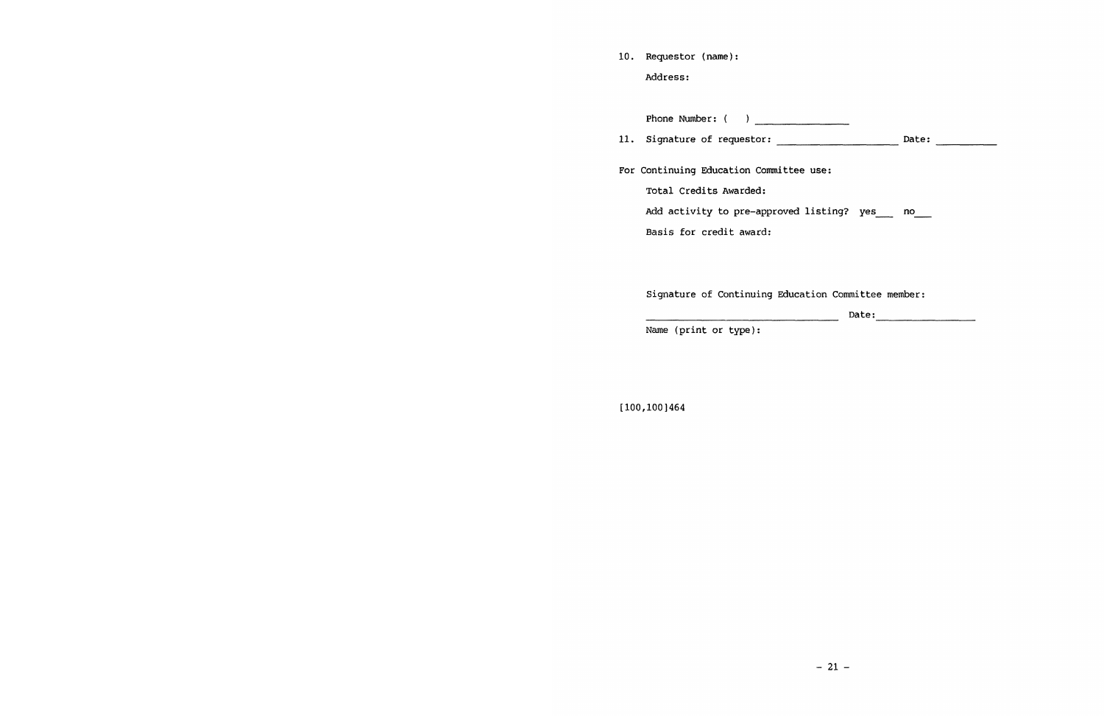| 10. Requestor (name): |  |
|-----------------------|--|
| Address:              |  |

Phone Number : ( 11. Signature of requester: Date: ---------- For Continuing Education Committee use: Total Credits Awarded: Add activity to pre-approved listing? yes \_\_\_ no\_\_\_ Basis for credit award:

Signature of Continuing Education Committee member:

Date:

Name (print or type):

[100,100)464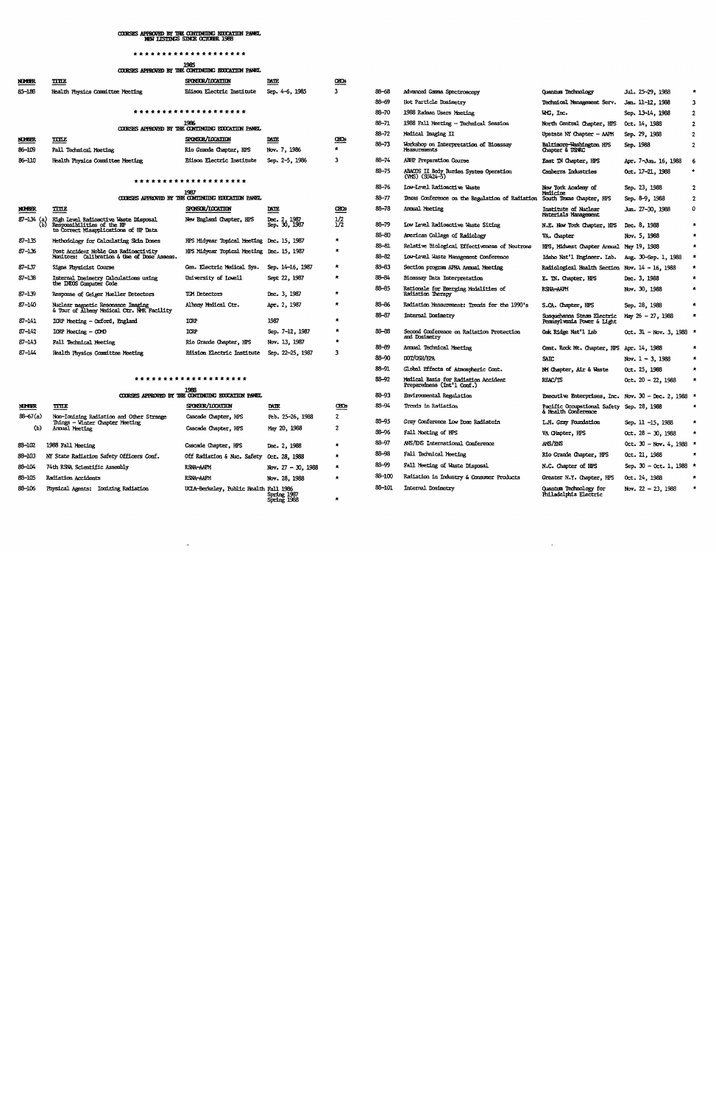# COURSES APPROVED BY THE CONTINUING EOUCATION PANEL.<br>NEW LISTINGS SINCE OCTOBER 1988

#### \*\*\*\*\*\*\*\*\*\*\*\*\*\*\*\*\*

|                     |                                                                                                                                                                                                                                | 1985<br>COORSES APPROVED BY THE CONTINUING EDUCATION PANEL |                                          |                            |           |                                                              |                                              |                      |                |
|---------------------|--------------------------------------------------------------------------------------------------------------------------------------------------------------------------------------------------------------------------------|------------------------------------------------------------|------------------------------------------|----------------------------|-----------|--------------------------------------------------------------|----------------------------------------------|----------------------|----------------|
| <b>NIMBR</b>        | $\overline{\text{rms}}$                                                                                                                                                                                                        | SPONSOR/LOCATION                                           | $\underline{\mathtt{M}}$                 | $rac{1}{2}$                |           |                                                              |                                              |                      |                |
| 85-188              | Health Physics Committee Meeting                                                                                                                                                                                               | Edison Electric Institute                                  | Sep. 4-6, 1985                           |                            | 88-68     | Advanced Gamma Spectroscopy                                  | Quantum Technology                           | Jul. 25-29, 1988     | $\star$        |
|                     |                                                                                                                                                                                                                                |                                                            |                                          |                            | $88 - 69$ | Hot Particle Dosimetry                                       | Technical Management Serv.                   | Jan. 11-12, 1988     | $\mathbf{3}$   |
|                     |                                                                                                                                                                                                                                | *******************                                        |                                          |                            | 88-70     | 1988 Radman Users Meeting                                    | WG, Inc.                                     | Sep. 13-14, 1988     | $\overline{2}$ |
|                     |                                                                                                                                                                                                                                | 1996                                                       |                                          |                            | $88 - 71$ | 1988 Fall Meeting - Technical Session                        | North Central Chapter, HPS                   | Oct. 14, 1988        | $\mathbf{2}$   |
|                     |                                                                                                                                                                                                                                | COURSES APPROVED BY THE CONTINUING EDUCATION PANEL         |                                          |                            | 88-72     | Medical Imaging II                                           | Upstate NY Chapter - AAPM                    | Sep. 29, 1988        | $\overline{2}$ |
| NULLER.<br>86-109   | шu<br>Fall Technical Meeting                                                                                                                                                                                                   | SPONSOR/LOCATION<br>Rio Grande Chapter, HPS                | $\underline{\mathtt{m}}$<br>Nov. 7, 1986 | $\underline{\mathtt{cos}}$ | $88 - 73$ | Workshop on Interpretation of Bioassay<br>Yeasurements       | Baltimore-Washington HPS<br>Chapter & USNRC  | Sep. 1988            |                |
| 86-110              | Health Physics Committee Meeting                                                                                                                                                                                               | Edison Electric Institute                                  | Sep. 2-5, 1986                           | ٦                          | $88 - 74$ | ABIP Preparation Course                                      | East TN Chapter, HPS                         | Apr. 7-Jun. 16, 1988 | - 6            |
|                     |                                                                                                                                                                                                                                |                                                            |                                          |                            | $83 - 75$ | ABACOS II Body Burden System Operation<br>$(WS)$ $(SV424-5)$ | Canberra Industries                          | Oct. 17-21, 1988     | $\bullet$      |
| ******************* |                                                                                                                                                                                                                                |                                                            |                                          |                            | 88-76     | Low-Level Radioactive Waste                                  | New York Academy of                          | Sep. 23, 1988        |                |
|                     |                                                                                                                                                                                                                                | 1987<br>COORSES APPROVED BY THE CONTINUING EDUCATION PANEL |                                          |                            | $88 - 77$ | Texas Conference on the Regulation of Radiation              | Medicine<br>South Texas Chapter, HPS         | Sep. 8-9, 1988       | $\mathbf{2}$   |
| <b>NUBER</b>        | TITE                                                                                                                                                                                                                           | SPONSOR/LOCATION                                           | $\underline{\mathtt{M}}$                 | $\underline{\alpha}$       | $86 - 73$ | Amual Meeting                                                | Institute of Niclear<br>Materials Management | Jun. 27-30, 1988     | 0              |
| $87 - 134$ (a)      | High Level Radioactive Waste Disposal<br>Responsibilities of the HP<br>to Correct Misapplications of HP Data                                                                                                                   | New England Chapter, HPS                                   | Dec. 2, 1987<br>Sep. 30, 1987            | $\frac{1}{2}$              | 88-79     | Low Level Radioactive Waste Siting                           | N.E. New York Chapter, HPS                   | Dec. 8, 1988         | $\star$        |
| 87-135              | Methodology for Calculating Sidn Doses                                                                                                                                                                                         | HPS Midyear Topical Meeting Dec. 15, 1987                  |                                          | *                          | 88-80     | American College of Radiology                                | VA. Chapter                                  | Nov. 5, 1988         | $\pi$          |
| $- - -$             | the contract of the second contract of the contract of the contract of the contract of the contract of the contract of the contract of the contract of the contract of the contract of the contract of the contract of the con |                                                            |                                          |                            | $88 - 81$ | Relative Biological Effectiveness of Neutrons                | HPS, Midwest Chapter Annual May 19, 1988     |                      | $\star$        |

#### \*\*\*\*\*\*\*\*\*\*\*\*\*\*\*\*\*\*\*\*

| <b>NUMBER</b>       | $_{\rm TILE}$                                                                                 | SPONSOR/LOCATION                             | <b>DATE</b>                      | <b>CBCs</b> | 89-94              | Trends in Rodiation                                       | Pacific Occupational Safety Sep. 28, 1988<br>& Health Conference |                                           | *                       |
|---------------------|-----------------------------------------------------------------------------------------------|----------------------------------------------|----------------------------------|-------------|--------------------|-----------------------------------------------------------|------------------------------------------------------------------|-------------------------------------------|-------------------------|
| $88 - 67(a)$<br>(ь) | Non-Ionizing Radiation and Other Strange<br>Things - Winter Chapter Meeting<br>Annual Meeting | Cascade Chapter, HPS<br>Cascade Chapter, HPS | Feb. 25-26, 1988<br>May 20, 1988 |             | BS-93<br>$88 - 96$ | Gray Conference Low Dose Radiatoin<br>Fall Meeting of HPS | L.H. Gray Foundation<br>VA CHapter, HPS                          | Sep. 11 -15, 1988<br>$0ct. 28 - 30. 1988$ | $\mathbf{r}$<br>$\star$ |
| 88-102              | 1988 Fall Meeting                                                                             | Cascade Chapter, HPS                         | Dec. 2, 1988                     |             | 88-97              | ANS/ENS International Conference                          | ANS/ENS                                                          | Oct. 30 - Nov. 4, 1988 *                  |                         |
| 83-103              | NY State Radiation Safety Officers Conf.                                                      | Off Radiation & Nuc. Safety Oct. 28, 1988    |                                  |             | 88-98              | Fall Technical Meeting                                    | Rio Grande Chapter, HPS                                          | 0ct. 21, 1988                             | $\cdot$                 |
| 88-104              | 74th RSNA Scientific Assembly                                                                 | RSNA-AAPM                                    | Nov. $27 - 30$ , 1988            | ÷           | 83-99              | Fall Meeting of Waste Disposal                            | N.C. Chapter of HPS                                              | Sep. 30 - 0ct. 1, 1988 *                  |                         |
| 88-105              | Radiation Accidents                                                                           | RSNA-AAPM                                    | Nov. 28, 1988                    |             | 88-100             | Radiation in Industry & Consumer Products                 | Greater N.Y. Chapter, HPS                                        | Oct. 24, 1988                             |                         |
| 88-106              | <b>Ionizing Radiation</b><br>Physical Agents:                                                 | UCIA-Berkeley, Public Health Fall 1986       | Spring 1987<br>Spring 1988       |             | 88-101             | Internal Dosimetry                                        | <b>Ouantum Technology for</b><br>Philadelphia Electric           | Nov. $22 - 23$ , $1988$                   | $\star$                 |

 $\sigma$ 

| 85–188                 | Health Physics Committee Meeting                                                 | Edison Electric Institute                                                              | Sep. 4-6, 1985                | -3             | 88-68     | Advanced Gamma Spectroscopy                                        | Quantum Technology                                               | <b>Jul. 25–29, 1988</b>      |                |
|------------------------|----------------------------------------------------------------------------------|----------------------------------------------------------------------------------------|-------------------------------|----------------|-----------|--------------------------------------------------------------------|------------------------------------------------------------------|------------------------------|----------------|
|                        |                                                                                  |                                                                                        |                               |                | $88 - 69$ | Hot Particle Dosimetry                                             | Technical Management Serv.                                       | Jan. 11-12, 1988             | 3              |
|                        |                                                                                  | *******************                                                                    |                               |                | 88-70     | 1988 Radman Users Meeting                                          | WG, Inc.                                                         | Sep. 13-14, 1988             | $\mathbf{2}$   |
|                        |                                                                                  | 1996<br>COURSES APPROVED BY THE CONTINUING EDUCATION PANEL                             |                               |                | $88 - 71$ | 1988 Fall Meeting - Technical Session                              | North Central Chapter, HPS                                       | Oct. 14, 1988                | $\mathbf{2}$   |
|                        |                                                                                  |                                                                                        |                               |                | 88-72     | Medical Imaging II                                                 | Upstate NY Chapter - AAPM                                        | Sep. 29, 1988                | $\overline{2}$ |
| <b>KILER</b><br>86–109 | ШZ<br><b>Fall Technical Meeting</b>                                              | SPONSOR/LOCATION<br>Rio Grande Chapter, RPS                                            | <b>DATE</b><br>Nov. 7, 1986   | œœ             | 88-73     | Workshop on Interpretation of Bioassay<br>Measurements             | Baltimore-Washington HPS<br>Chapter & USNRC                      | Sep. 1988                    | $\overline{2}$ |
| 86–110                 | Health Physics Committee Meeting                                                 | Edison Electric Institute                                                              | Sep. 2-5, 1986                | з              | $86 - 74$ | <b>AFIP Preparation Course</b>                                     | East TN Chapter, HPS                                             | Apr. 7-Jun. 16, 1988         | 6              |
|                        |                                                                                  | *******************                                                                    |                               |                | 88-75     | ABACOS II Body Burden System Operation<br>(VMS) (SU424-5)          | Canberra Industries                                              | Oct. 17-21, 1988             |                |
|                        |                                                                                  | 1937                                                                                   |                               |                | 88-76     | Low-Level Radioactive Waste                                        | New York Academy of                                              | Sep. 23, 1988                | $\mathbf{2}$   |
|                        |                                                                                  | COURSES APPROVED BY THE CONTINUING EDUCATION PANEL                                     |                               |                | $88 - 77$ | Texas Conference on the Regulation of Radiation                    | Medicine<br>South Texas Chapter, HPS                             | Sep. 8-9, 1988               | $\overline{2}$ |
| NUMBER.                | <b>TITE</b>                                                                      | SPONSOR/LOCATION                                                                       | <b>DATE</b>                   | ŒŒ             | 86-78     | Amual Meeting                                                      | Institute of Nuclear<br>Materials Management                     | Jun. 27–30, 1988             | 0              |
| 87-134 (a)<br>(Ъ)      | High Level Radioactive Waste Disposal<br>Responsibilities of the HP              | New England Chapter, HPS                                                               | Dec. 2, 1987<br>Sep. 30, 1987 | $\frac{1}{2}$  | 88-79     | Low Level Radioactive Waste Siting                                 | N.E. New York Chapter, HPS                                       | Dec. 8, 1988                 |                |
| 87–135                 | to Correct Misapplications of HP Data                                            |                                                                                        |                               | *              | 88-80     | American College of Radiology                                      | VA. Chapter                                                      | Nov. 5, 1988                 |                |
| 87-136                 | Methodology for Calculating Sicin Doses<br>Post Accident Noble Gas Radioactivity | HPS Midyear Topical Meeting Dec. 15, 1987<br>HPS Midyear Topical Meeting Dec. 15, 1987 |                               | $\star$        | 88-81     | Relative Biological Effectiveness of Neutrons                      | HPS, Midwest Chapter Annual May 19, 1988                         |                              |                |
|                        | Monitors: Calibration & Use of Dose Assess.                                      |                                                                                        |                               |                | 88-82     | Low-Level Waste Management Conference                              | Idaho Nat'l Engineer. Lab.                                       | Aug. 30-Sep. 1, 1988         | $\star$        |
| 87–137                 | Signa Physicist Course                                                           | Gen. Electric Medical Sys.                                                             | Sep. 14-16, 1987              | *              | 83-63     | Section program APHA Annual Meeting                                | <b>Radiological Health Section</b>                               | Nov. $14 - 16$ , 1988        |                |
| 87–138                 | Internal Dosimetry Calculations using<br>the INDOS Computer Code                 | University of Lowell                                                                   | Sept 22, 1987                 | *              | 88-84     | Bioassay Data Interpretation                                       | E. IN. Chapter, HPS                                              | Dec. 3, 1988                 | $\star$        |
| 87–139                 | Response of Geiger Mueller Detectors                                             | TCM Detectors                                                                          | Dec. 3, 1987                  |                | 88-85     | Rationale for Emerging Modalities of<br>Radiation Therapy          | RSNA-AAPM                                                        | Nov. 30, 1988                | $\star$        |
| 87–140                 | Nuclear magnetic Resonance Imaging                                               | Albany Medical Ctr.                                                                    | Apr. 2, 1987                  |                | 83-86     | Radiation Measurement: Trends for the 1990's                       | S.CA. Chapter, HPS                                               | Sep. 28, 1988                | $\star$        |
| 87–141                 | & Tour of Albany Medical Ctr. NMR Facility<br>ICRP Meeting - Oxford, England     | ICRP                                                                                   | 1987                          | $\star$        | 88-87     | Internal Dosimetry                                                 | Susquehanna Steam Electric<br>Pennsylvania Power & Light         | $\text{May } 26 - 27$ , 1988 | $\star$        |
| 87-142                 | $IOUP$ Meeting $ OMD$                                                            | ICRP                                                                                   | Sep. 7-12, 1987               | *              | 83-88     | Second Conference on Radiation Protection                          | Oak Ridge Nat'l Iab                                              | 0ct. $31 - Now. 3, 1988$ *   |                |
| 87–143                 | Fall Technical Meeting                                                           | Rio Grande Chapter, HPS                                                                | Nov. 13, 1987                 |                |           | and Dosimetry                                                      |                                                                  |                              |                |
| 87–144                 | Health Physics Committee Meeting                                                 | <b>Edision Electric Institute</b>                                                      | Sep. 22-25, 1987              | з              | 88-89     | Annual Technical Meeting                                           | Cent. Rock Mt. Chapter, HPS Apr. 14, 1988                        |                              |                |
|                        |                                                                                  |                                                                                        |                               |                | 88-90     | DOT/OSH/EPA                                                        | <b>SAIC</b>                                                      | Nov. $1 - 3$ , 1988          | $\star$        |
|                        |                                                                                  |                                                                                        |                               |                | 88–91     | Global Effects of Atmospheric Cont.                                | NM Chapter, Air & Waste                                          | 0ct. 25, 1988                | $\pmb{\pi}$    |
|                        |                                                                                  | *******************<br>1988                                                            |                               |                | 88–92     | Medical Basis for Radiation Accident<br>Preparedness (Int'l Conf.) | REAC/TS                                                          | Oct. $20 - 22$ , 1988        | $\star$        |
|                        |                                                                                  | COORSES APPROVED BY THE CONTINUING EDUCATION PANEL                                     |                               |                | 88-93     | Enviromental Regulation                                            | Executive Enterprises, Inc. Nov. $30 - Dec. 2$ , 1988 *          |                              |                |
| <b>NO EER</b>          | тпк                                                                              | SPONSOR/IOCATION                                                                       | DATE                          | œœ             | 89-94     | Trends in Radiation                                                | Pacific Occupational Safety Sep. 28, 1988<br>& Health Conference |                              |                |
| 88–67(a)               | Non-Ionizing Radiation and Other Strange<br>Things - Winter Chapter Meeting      | Cascade Chapter, HPS                                                                   | Feb. 25-26, 1988              | $\overline{2}$ | 88–95     | Gray Conference Low Dose Radiatoin                                 | L.H. Gray Foundation                                             | Sep. 11 -15, 1988            | $\mathcal{R}$  |
| (b)                    | Annual Meeting                                                                   | Cascade Chapter, HPS                                                                   | May 20, 1988                  | 2              | $88 - 96$ | Fall Meeting of HPS                                                | VA CHapter, HPS                                                  | Oct. $28 - 30$ , 1988        | $\mathcal{R}$  |
| 38-102                 | 1988 Fall Meeting                                                                | Cascade Chapter, HPS                                                                   | Dec. 2, 1988                  |                | 88-97     | ANS/ENS International Conference                                   | ANS/ENS                                                          | Oct. 30 - Nov. 4, 1988 *     |                |
| 93–103                 | NY State Radiation Safety Officers Conf.                                         | Off Radiation & Nuc. Safety                                                            | Oct. 28, 1988                 |                | 88-98     | Fall Technical Meeting                                             | Rio Grande Chapter, HPS                                          | 0ct. 21, 1988                |                |
| 88-104                 | 74th RSNA Scientific Assembly                                                    | RSNA-AAPM                                                                              | Nov. $27 - 30$ , 1988         |                | 83-99     | Fall Meeting of Waste Disposal                                     | N.C. Chapter of HPS                                              | Sep. 30 - Oct. 1, 1988 *     |                |
| 98-105                 | <b>Radiation Accidents</b>                                                       | RSNA-AAPM                                                                              | Nov. 28, 1988                 |                | 88-100    | Radiation in Industry & Consumer Products                          | Greater N.Y. Chapter, HPS                                        | Oct. 24, 1988                |                |
| 88–106                 | Physical Agents: Ionizing Radiation                                              | UCIA-Berkeley, Public Health Fall 1986                                                 | Spring 1987                   |                | 88–101    | Internal Dosimetry                                                 | Quantum Technology for<br>Puladelphia Electric                   | Nov. 22 - 23, 1988           | $\pmb{\star}$  |

 $\bar{z}$